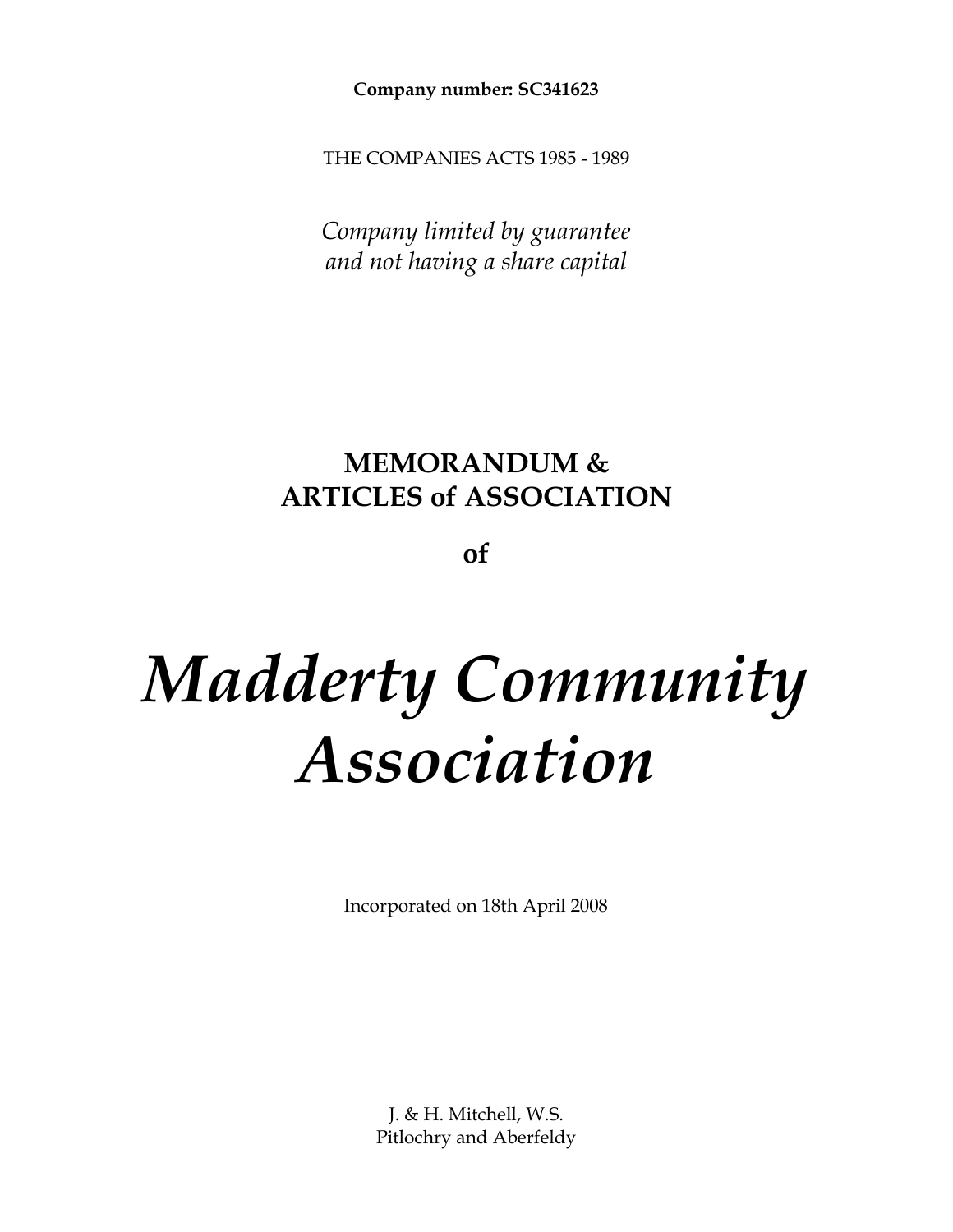**Company number: SC341623**

THE COMPANIES ACTS 1985 - 1989

*Company limited by guarantee and not having a share capital*

# **MEMORANDUM & ARTICLES of ASSOCIATION**

**of**

# *Madderty Community Association*

Incorporated on 18th April 2008

J. & H. Mitchell, W.S. Pitlochry and Aberfeldy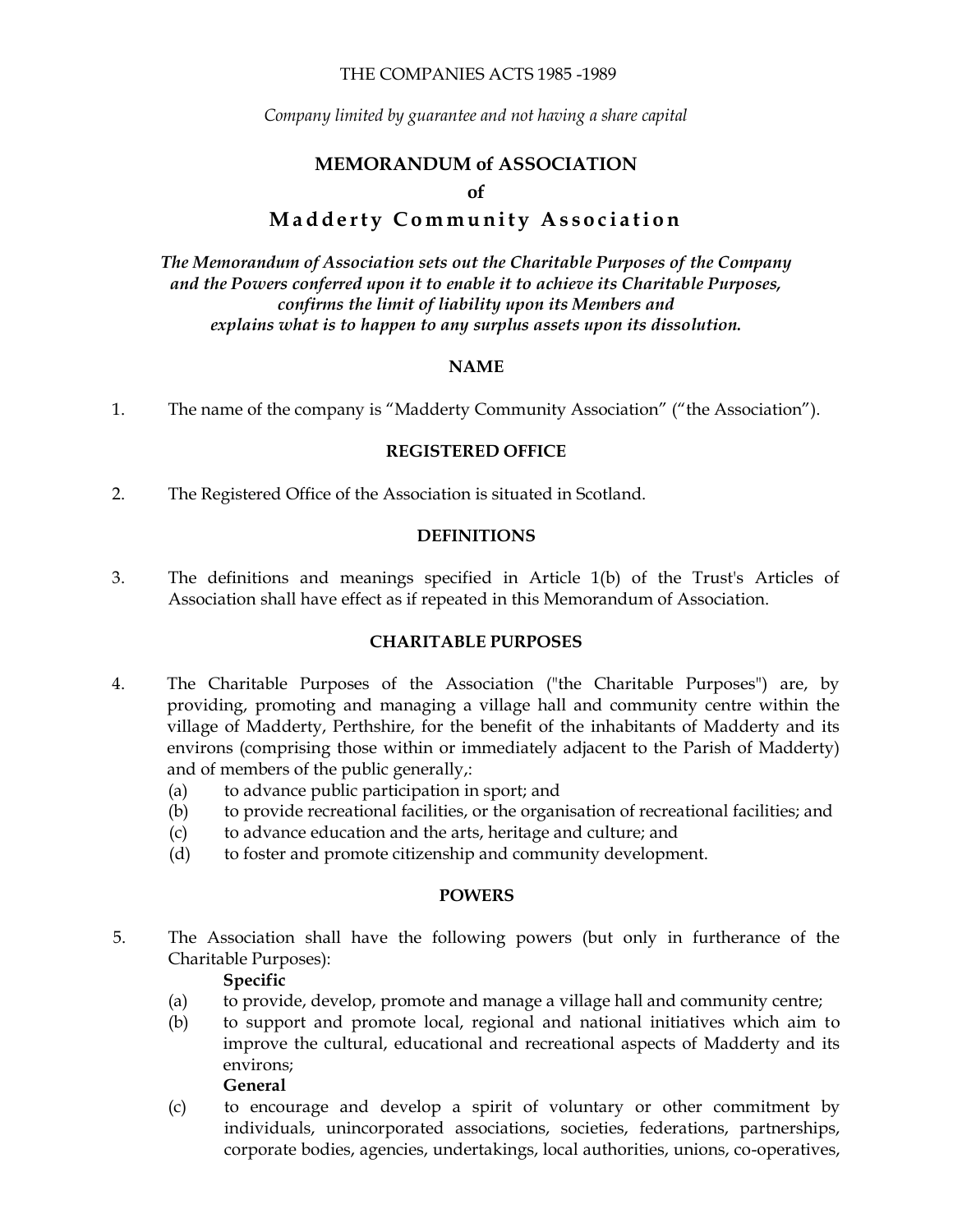#### THE COMPANIES ACTS 1985 -1989

*Company limited by guarantee and not having a share capital*

# **MEMORANDUM of ASSOCIATION**

#### **of**

# **Madderty Community Association**

*The Memorandum of Association sets out the Charitable Purposes of the Company and the Powers conferred upon it to enable it to achieve its Charitable Purposes, confirms the limit of liability upon its Members and explains what is to happen to any surplus assets upon its dissolution.*

#### **NAME**

1. The name of the company is "Madderty Community Association" ("the Association").

#### **REGISTERED OFFICE**

2. The Registered Office of the Association is situated in Scotland.

#### **DEFINITIONS**

3. The definitions and meanings specified in Article 1(b) of the Trust's Articles of Association shall have effect as if repeated in this Memorandum of Association.

#### **CHARITABLE PURPOSES**

- 4. The Charitable Purposes of the Association ("the Charitable Purposes") are, by providing, promoting and managing a village hall and community centre within the village of Madderty, Perthshire, for the benefit of the inhabitants of Madderty and its environs (comprising those within or immediately adjacent to the Parish of Madderty) and of members of the public generally,:
	- (a) to advance public participation in sport; and
	- (b) to provide recreational facilities, or the organisation of recreational facilities; and
	- (c) to advance education and the arts, heritage and culture; and
	- (d) to foster and promote citizenship and community development.

#### **POWERS**

5. The Association shall have the following powers (but only in furtherance of the Charitable Purposes):

#### **Specific**

- (a) to provide, develop, promote and manage a village hall and community centre;
- (b) to support and promote local, regional and national initiatives which aim to improve the cultural, educational and recreational aspects of Madderty and its environs; **General**
- (c) to encourage and develop a spirit of voluntary or other commitment by individuals, unincorporated associations, societies, federations, partnerships, corporate bodies, agencies, undertakings, local authorities, unions, co-operatives,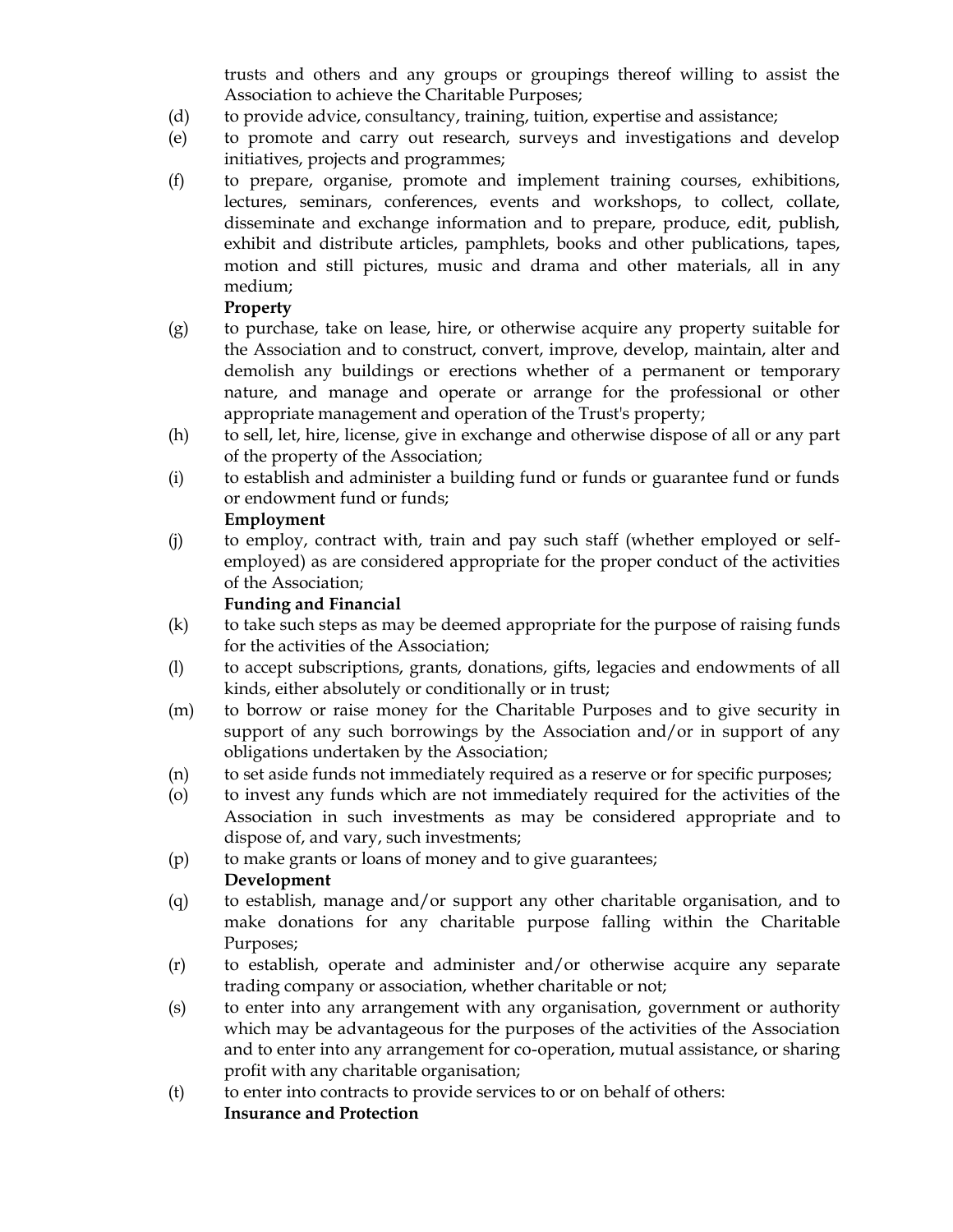trusts and others and any groups or groupings thereof willing to assist the Association to achieve the Charitable Purposes;

- (d) to provide advice, consultancy, training, tuition, expertise and assistance;
- (e) to promote and carry out research, surveys and investigations and develop initiatives, projects and programmes;
- (f) to prepare, organise, promote and implement training courses, exhibitions, lectures, seminars, conferences, events and workshops, to collect, collate, disseminate and exchange information and to prepare, produce, edit, publish, exhibit and distribute articles, pamphlets, books and other publications, tapes, motion and still pictures, music and drama and other materials, all in any medium;

# **Property**

- (g) to purchase, take on lease, hire, or otherwise acquire any property suitable for the Association and to construct, convert, improve, develop, maintain, alter and demolish any buildings or erections whether of a permanent or temporary nature, and manage and operate or arrange for the professional or other appropriate management and operation of the Trust's property;
- (h) to sell, let, hire, license, give in exchange and otherwise dispose of all or any part of the property of the Association;
- (i) to establish and administer a building fund or funds or guarantee fund or funds or endowment fund or funds;

# **Employment**

(j) to employ, contract with, train and pay such staff (whether employed or selfemployed) as are considered appropriate for the proper conduct of the activities of the Association;

# **Funding and Financial**

- (k) to take such steps as may be deemed appropriate for the purpose of raising funds for the activities of the Association;
- (l) to accept subscriptions, grants, donations, gifts, legacies and endowments of all kinds, either absolutely or conditionally or in trust;
- (m) to borrow or raise money for the Charitable Purposes and to give security in support of any such borrowings by the Association and/or in support of any obligations undertaken by the Association;
- (n) to set aside funds not immediately required as a reserve or for specific purposes;
- (o) to invest any funds which are not immediately required for the activities of the Association in such investments as may be considered appropriate and to dispose of, and vary, such investments;
- (p) to make grants or loans of money and to give guarantees;

# **Development**

- (q) to establish, manage and/or support any other charitable organisation, and to make donations for any charitable purpose falling within the Charitable Purposes;
- (r) to establish, operate and administer and/or otherwise acquire any separate trading company or association, whether charitable or not;
- (s) to enter into any arrangement with any organisation, government or authority which may be advantageous for the purposes of the activities of the Association and to enter into any arrangement for co-operation, mutual assistance, or sharing profit with any charitable organisation;
- (t) to enter into contracts to provide services to or on behalf of others: **Insurance and Protection**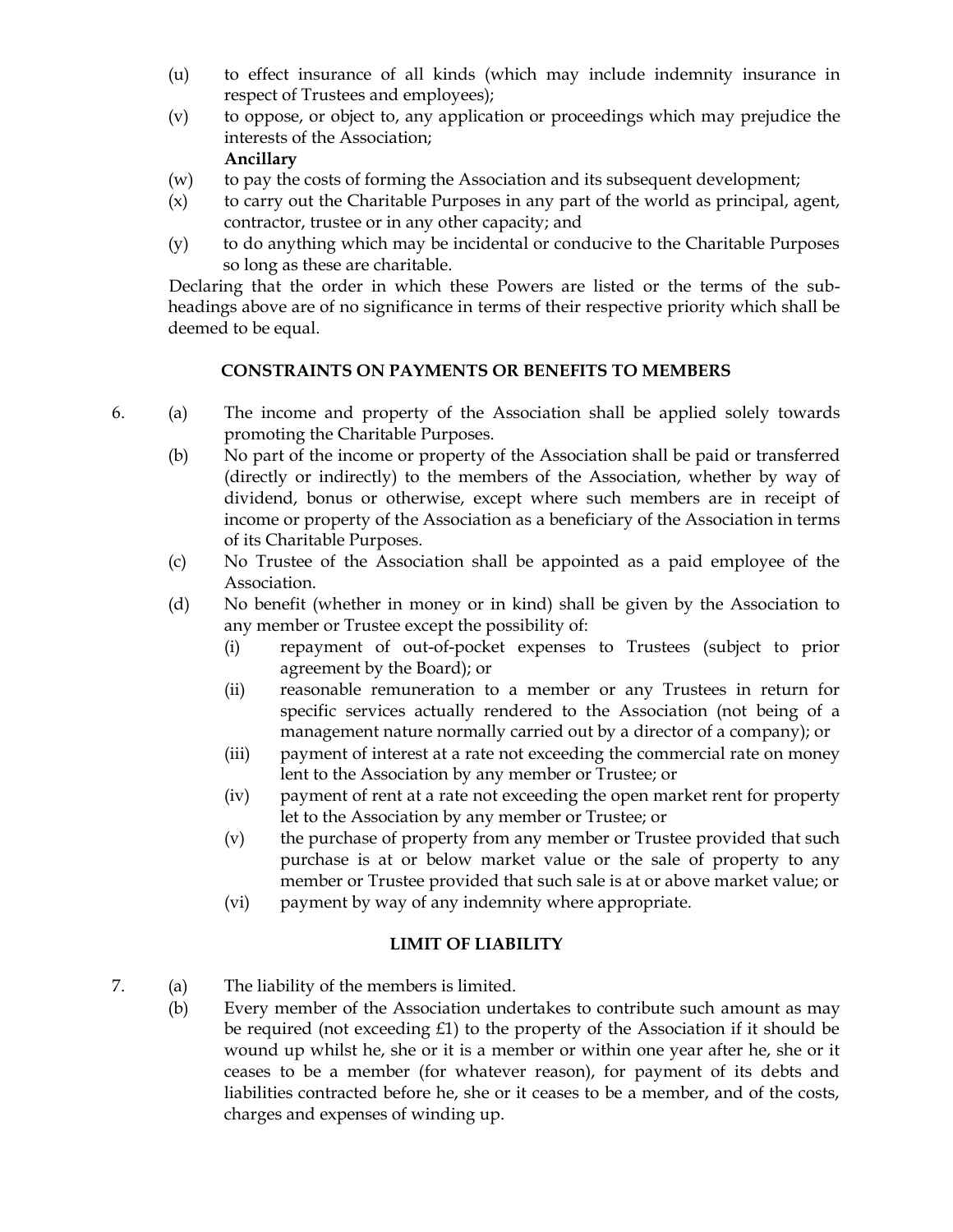- (u) to effect insurance of all kinds (which may include indemnity insurance in respect of Trustees and employees);
- (v) to oppose, or object to, any application or proceedings which may prejudice the interests of the Association; **Ancillary**
- (w) to pay the costs of forming the Association and its subsequent development;
- (x) to carry out the Charitable Purposes in any part of the world as principal, agent, contractor, trustee or in any other capacity; and
- (y) to do anything which may be incidental or conducive to the Charitable Purposes so long as these are charitable.

Declaring that the order in which these Powers are listed or the terms of the subheadings above are of no significance in terms of their respective priority which shall be deemed to be equal.

# **CONSTRAINTS ON PAYMENTS OR BENEFITS TO MEMBERS**

- 6. (a) The income and property of the Association shall be applied solely towards promoting the Charitable Purposes.
	- (b) No part of the income or property of the Association shall be paid or transferred (directly or indirectly) to the members of the Association, whether by way of dividend, bonus or otherwise, except where such members are in receipt of income or property of the Association as a beneficiary of the Association in terms of its Charitable Purposes.
	- (c) No Trustee of the Association shall be appointed as a paid employee of the Association.
	- (d) No benefit (whether in money or in kind) shall be given by the Association to any member or Trustee except the possibility of:
		- (i) repayment of out-of-pocket expenses to Trustees (subject to prior agreement by the Board); or
		- (ii) reasonable remuneration to a member or any Trustees in return for specific services actually rendered to the Association (not being of a management nature normally carried out by a director of a company); or
		- (iii) payment of interest at a rate not exceeding the commercial rate on money lent to the Association by any member or Trustee; or
		- (iv) payment of rent at a rate not exceeding the open market rent for property let to the Association by any member or Trustee; or
		- (v) the purchase of property from any member or Trustee provided that such purchase is at or below market value or the sale of property to any member or Trustee provided that such sale is at or above market value; or
		- (vi) payment by way of any indemnity where appropriate.

# **LIMIT OF LIABILITY**

- 7. (a) The liability of the members is limited.
	- (b) Every member of the Association undertakes to contribute such amount as may be required (not exceeding  $£1$ ) to the property of the Association if it should be wound up whilst he, she or it is a member or within one year after he, she or it ceases to be a member (for whatever reason), for payment of its debts and liabilities contracted before he, she or it ceases to be a member, and of the costs, charges and expenses of winding up.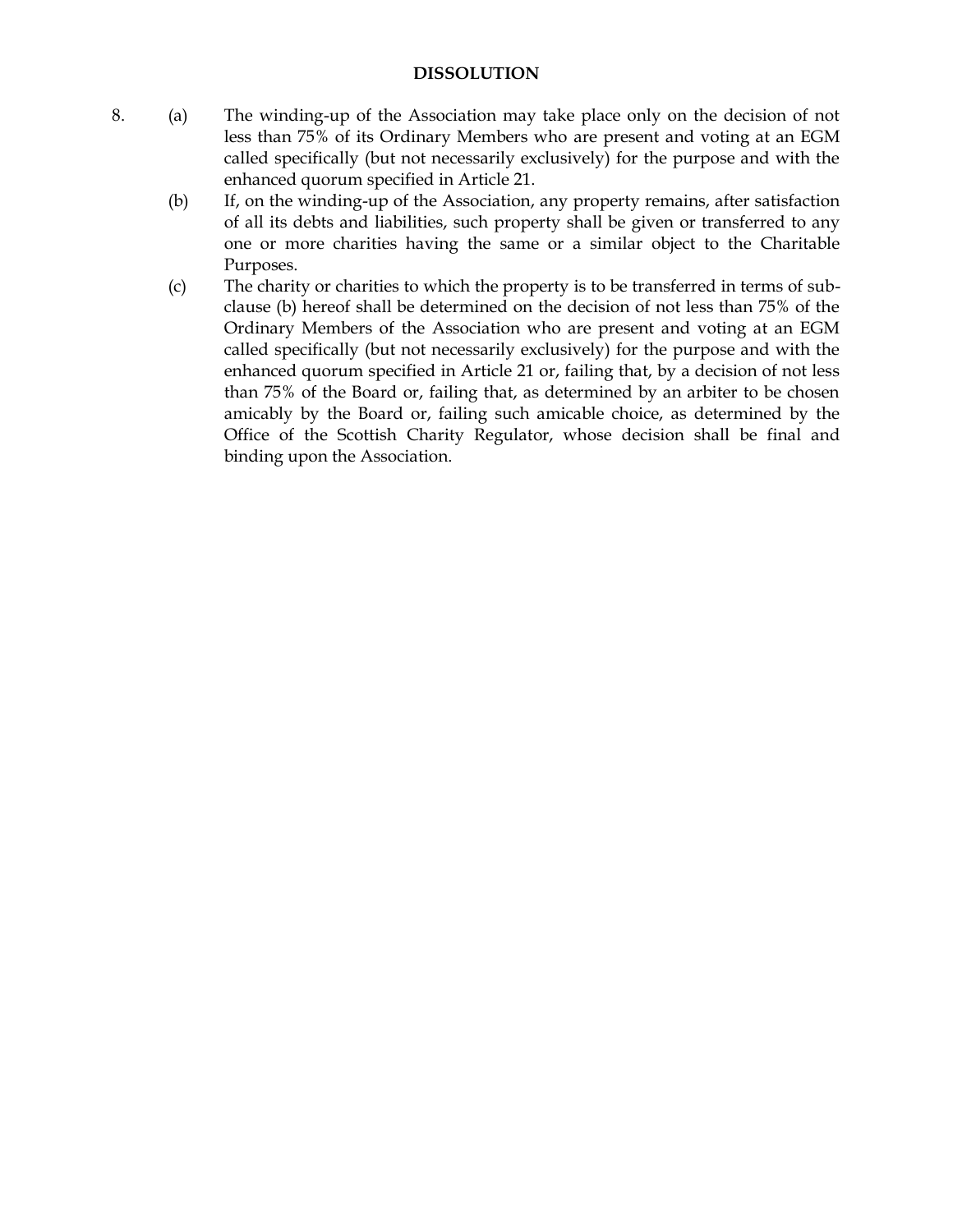#### **DISSOLUTION**

- 8. (a) The winding-up of the Association may take place only on the decision of not less than 75% of its Ordinary Members who are present and voting at an EGM called specifically (but not necessarily exclusively) for the purpose and with the enhanced quorum specified in Article 21.
	- (b) If, on the winding-up of the Association, any property remains, after satisfaction of all its debts and liabilities, such property shall be given or transferred to any one or more charities having the same or a similar object to the Charitable Purposes.
	- (c) The charity or charities to which the property is to be transferred in terms of subclause (b) hereof shall be determined on the decision of not less than 75% of the Ordinary Members of the Association who are present and voting at an EGM called specifically (but not necessarily exclusively) for the purpose and with the enhanced quorum specified in Article 21 or, failing that, by a decision of not less than 75% of the Board or, failing that, as determined by an arbiter to be chosen amicably by the Board or, failing such amicable choice, as determined by the Office of the Scottish Charity Regulator, whose decision shall be final and binding upon the Association.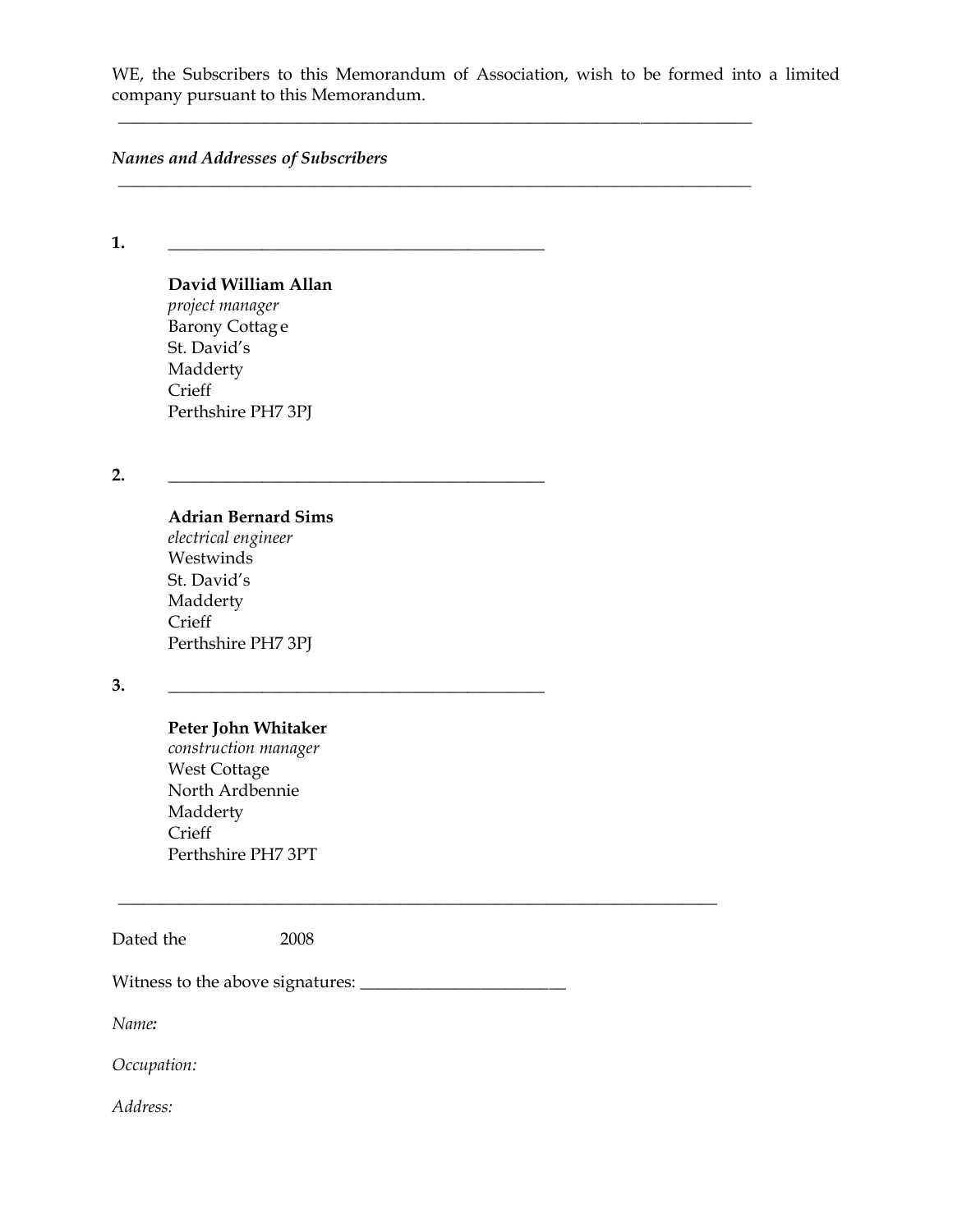WE, the Subscribers to this Memorandum of Association, wish to be formed into a limited company pursuant to this Memorandum.

\_\_\_\_\_\_\_\_\_\_\_\_\_\_\_\_\_\_\_\_\_\_\_\_\_\_\_\_\_\_\_\_\_\_\_\_\_\_\_\_\_\_\_\_\_\_\_\_\_\_\_\_\_\_\_\_\_\_\_\_\_\_\_\_\_\_\_\_\_\_\_\_\_\_

\_\_\_\_\_\_\_\_\_\_\_\_\_\_\_\_\_\_\_\_\_\_\_\_\_\_\_\_\_\_\_\_\_\_\_\_\_\_\_\_\_\_\_\_\_\_\_\_\_\_\_\_\_\_\_\_\_\_\_\_\_\_\_\_\_\_\_\_\_\_\_\_\_\_

*Names and Addresses of Subscribers*

**1. \_\_\_\_\_\_\_\_\_\_\_\_\_\_\_\_\_\_\_\_\_\_\_\_\_\_\_\_\_\_\_\_\_\_\_\_\_\_\_\_\_\_\_\_**

# **David William Allan**

*project manager* Barony Cottag e St. David's Madderty **Crieff** Perthshire PH7 3PJ

**2. \_\_\_\_\_\_\_\_\_\_\_\_\_\_\_\_\_\_\_\_\_\_\_\_\_\_\_\_\_\_\_\_\_\_\_\_\_\_\_\_\_\_\_\_**

# **Adrian Bernard Sims**

*electrical engineer* **Westwinds** St. David's Madderty **Crieff** Perthshire PH7 3PJ

#### **3. \_\_\_\_\_\_\_\_\_\_\_\_\_\_\_\_\_\_\_\_\_\_\_\_\_\_\_\_\_\_\_\_\_\_\_\_\_\_\_\_\_\_\_\_**

#### **Peter John Whitaker**

*construction manager* West Cottage North Ardbennie Madderty **Crieff** Perthshire PH7 3PT

Dated the 2008

Witness to the above signatures: \_\_\_\_\_\_\_\_\_\_\_\_\_\_\_\_\_\_\_\_\_\_\_\_

\_\_\_\_\_\_\_\_\_\_\_\_\_\_\_\_\_\_\_\_\_\_\_\_\_\_\_\_\_\_\_\_\_\_\_\_\_\_\_\_\_\_\_\_\_\_\_\_\_\_\_\_\_\_\_\_\_\_\_\_\_\_\_\_\_\_\_\_\_\_

*Name:*

*Occupation:*

*Address:*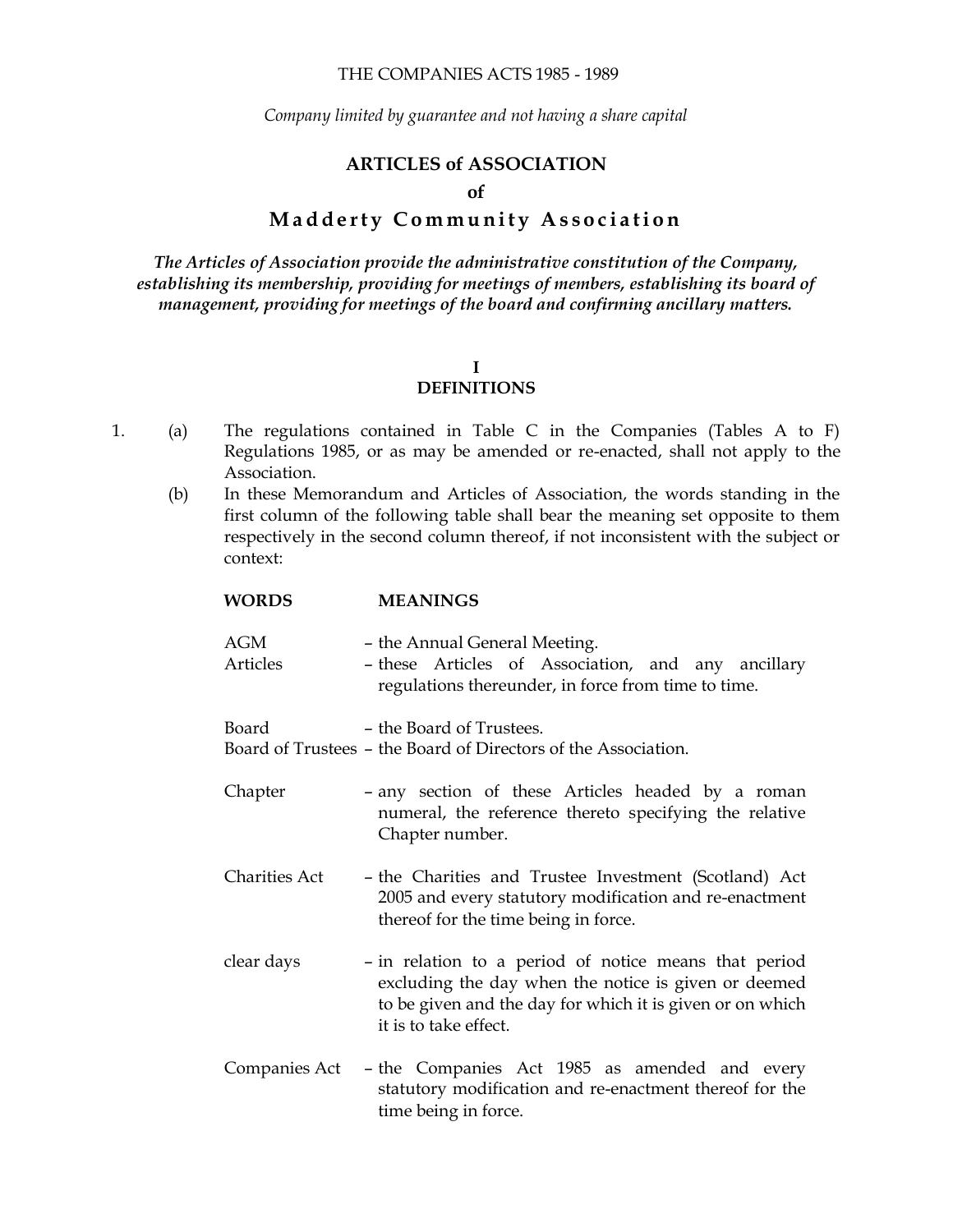#### THE COMPANIES ACTS 1985 - 1989

*Company limited by guarantee and not having a share capital*

#### **ARTICLES of ASSOCIATION**

#### **of**

# **Madderty Community Association**

*The Articles of Association provide the administrative constitution of the Company, establishing its membership, providing for meetings of members, establishing its board of management, providing for meetings of the board and confirming ancillary matters.*

#### **I**

# **DEFINITIONS**

- 1. (a) The regulations contained in Table C in the Companies (Tables A to F) Regulations 1985, or as may be amended or re-enacted, shall not apply to the Association.
	- (b) In these Memorandum and Articles of Association, the words standing in the first column of the following table shall bear the meaning set opposite to them respectively in the second column thereof, if not inconsistent with the subject or context:

| <b>WORDS</b>           | <b>MEANINGS</b>                                                                                                                                                                                     |
|------------------------|-----------------------------------------------------------------------------------------------------------------------------------------------------------------------------------------------------|
| <b>AGM</b><br>Articles | - the Annual General Meeting.<br>- these Articles of Association, and any ancillary<br>regulations thereunder, in force from time to time.                                                          |
| Board                  | - the Board of Trustees.<br>Board of Trustees – the Board of Directors of the Association.                                                                                                          |
| Chapter                | - any section of these Articles headed by a roman<br>numeral, the reference thereto specifying the relative<br>Chapter number.                                                                      |
| <b>Charities Act</b>   | - the Charities and Trustee Investment (Scotland) Act<br>2005 and every statutory modification and re-enactment<br>thereof for the time being in force.                                             |
| clear days             | - in relation to a period of notice means that period<br>excluding the day when the notice is given or deemed<br>to be given and the day for which it is given or on which<br>it is to take effect. |
| Companies Act          | - the Companies Act 1985 as amended and every<br>statutory modification and re-enactment thereof for the                                                                                            |

time being in force.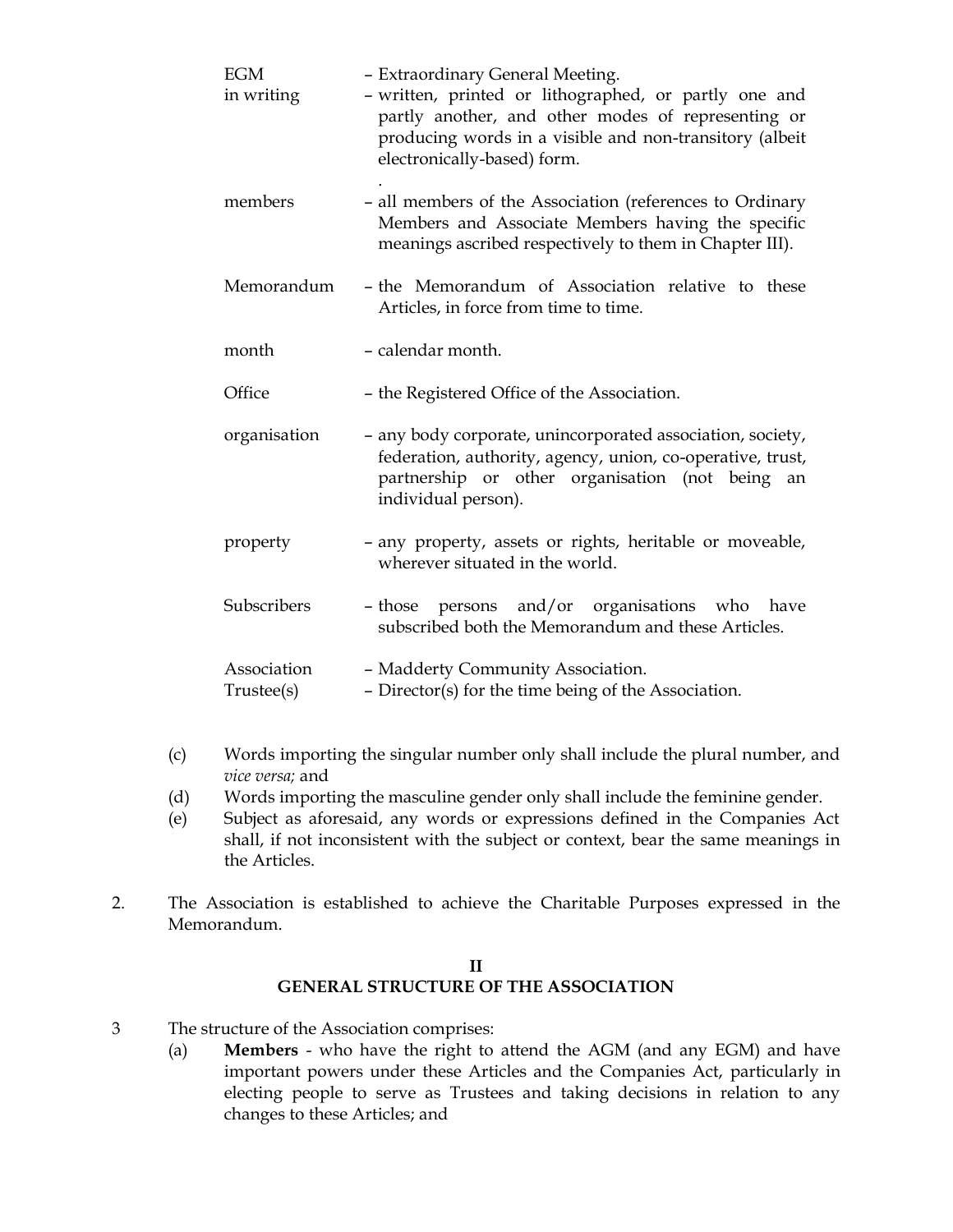| <b>EGM</b><br>in writing | - Extraordinary General Meeting.<br>- written, printed or lithographed, or partly one and<br>partly another, and other modes of representing or<br>producing words in a visible and non-transitory (albeit<br>electronically-based) form. |
|--------------------------|-------------------------------------------------------------------------------------------------------------------------------------------------------------------------------------------------------------------------------------------|
| members                  | - all members of the Association (references to Ordinary<br>Members and Associate Members having the specific<br>meanings ascribed respectively to them in Chapter III).                                                                  |
| Memorandum               | - the Memorandum of Association relative to these<br>Articles, in force from time to time.                                                                                                                                                |
| month                    | - calendar month.                                                                                                                                                                                                                         |
| Office                   | - the Registered Office of the Association.                                                                                                                                                                                               |
| organisation             | - any body corporate, unincorporated association, society,<br>federation, authority, agency, union, co-operative, trust,<br>partnership or other organisation (not being<br>an<br>individual person).                                     |
| property                 | - any property, assets or rights, heritable or moveable,<br>wherever situated in the world.                                                                                                                                               |
| Subscribers              | - those persons and/or organisations who have<br>subscribed both the Memorandum and these Articles.                                                                                                                                       |
| Association              | - Madderty Community Association.                                                                                                                                                                                                         |
| Trustee(s)               | - Director(s) for the time being of the Association.                                                                                                                                                                                      |

- (c) Words importing the singular number only shall include the plural number, and *vice versa;* and
- (d) Words importing the masculine gender only shall include the feminine gender.
- (e) Subject as aforesaid, any words or expressions defined in the Companies Act shall, if not inconsistent with the subject or context, bear the same meanings in the Articles.
- 2. The Association is established to achieve the Charitable Purposes expressed in the Memorandum.

#### **II GENERAL STRUCTURE OF THE ASSOCIATION**

- 3 The structure of the Association comprises:
	- (a) **Members** who have the right to attend the AGM (and any EGM) and have important powers under these Articles and the Companies Act, particularly in electing people to serve as Trustees and taking decisions in relation to any changes to these Articles; and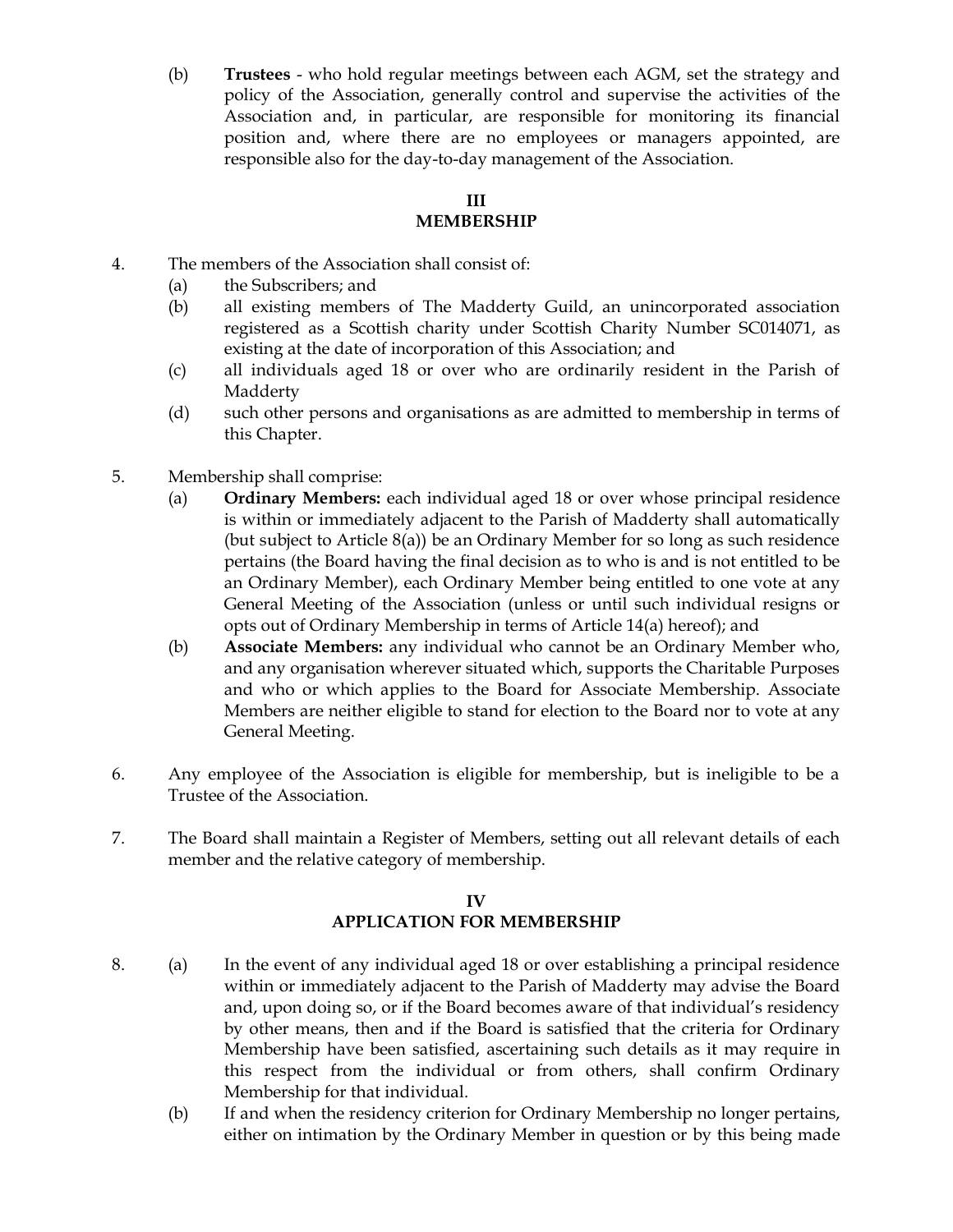(b) **Trustees** - who hold regular meetings between each AGM, set the strategy and policy of the Association, generally control and supervise the activities of the Association and, in particular, are responsible for monitoring its financial position and, where there are no employees or managers appointed, are responsible also for the day-to-day management of the Association.

# **III**

# **MEMBERSHIP**

- 4. The members of the Association shall consist of:
	- (a) the Subscribers; and
	- (b) all existing members of The Madderty Guild, an unincorporated association registered as a Scottish charity under Scottish Charity Number SC014071, as existing at the date of incorporation of this Association; and
	- (c) all individuals aged 18 or over who are ordinarily resident in the Parish of Madderty
	- (d) such other persons and organisations as are admitted to membership in terms of this Chapter.
- 5. Membership shall comprise:
	- (a) **Ordinary Members:** each individual aged 18 or over whose principal residence is within or immediately adjacent to the Parish of Madderty shall automatically (but subject to Article 8(a)) be an Ordinary Member for so long as such residence pertains (the Board having the final decision as to who is and is not entitled to be an Ordinary Member), each Ordinary Member being entitled to one vote at any General Meeting of the Association (unless or until such individual resigns or opts out of Ordinary Membership in terms of Article 14(a) hereof); and
	- (b) **Associate Members:** any individual who cannot be an Ordinary Member who, and any organisation wherever situated which, supports the Charitable Purposes and who or which applies to the Board for Associate Membership. Associate Members are neither eligible to stand for election to the Board nor to vote at any General Meeting.
- 6. Any employee of the Association is eligible for membership, but is ineligible to be a Trustee of the Association.
- 7. The Board shall maintain a Register of Members, setting out all relevant details of each member and the relative category of membership.

# **IV APPLICATION FOR MEMBERSHIP**

- 8. (a) In the event of any individual aged 18 or over establishing a principal residence within or immediately adjacent to the Parish of Madderty may advise the Board and, upon doing so, or if the Board becomes aware of that individual's residency by other means, then and if the Board is satisfied that the criteria for Ordinary Membership have been satisfied, ascertaining such details as it may require in this respect from the individual or from others, shall confirm Ordinary Membership for that individual.
	- (b) If and when the residency criterion for Ordinary Membership no longer pertains, either on intimation by the Ordinary Member in question or by this being made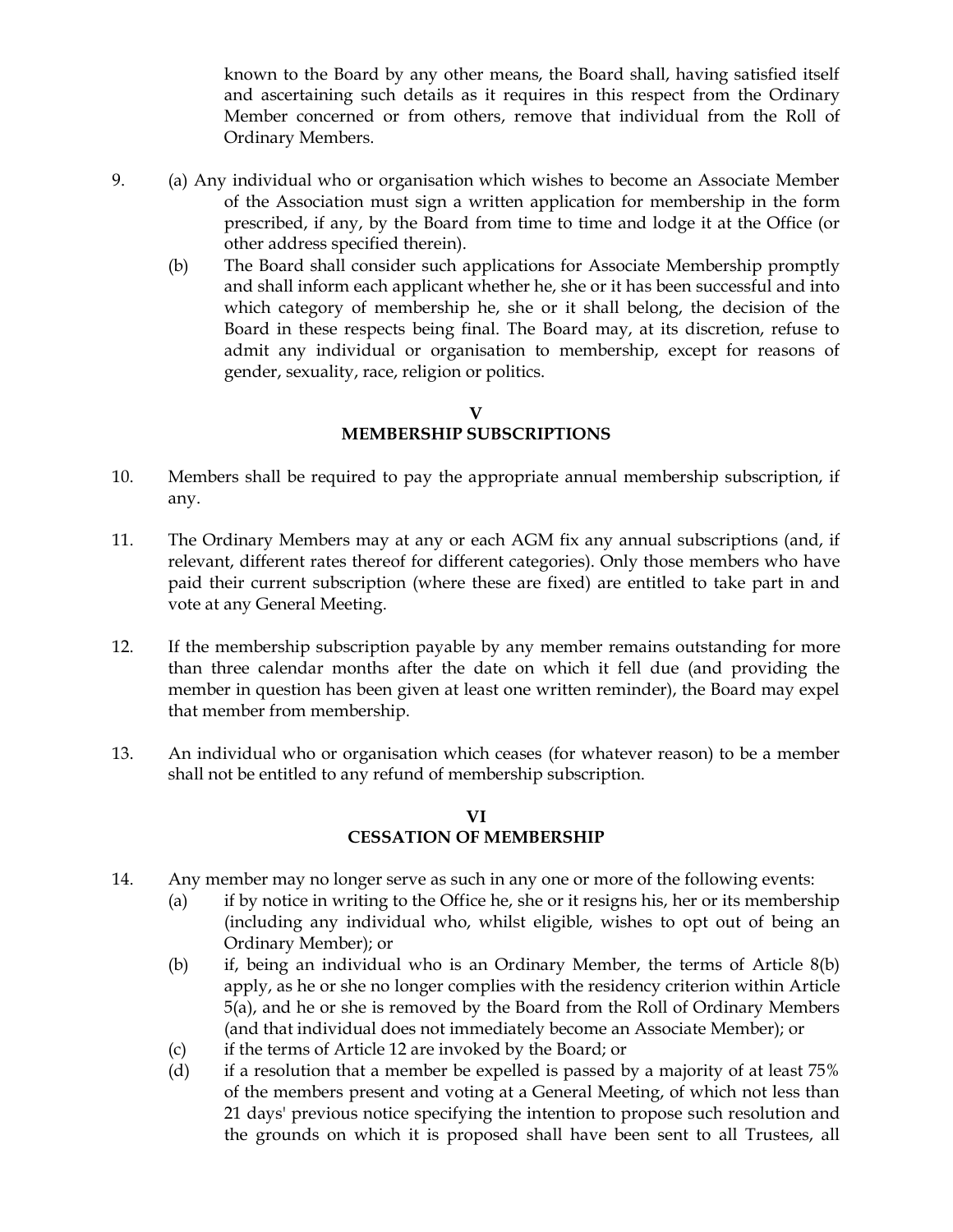known to the Board by any other means, the Board shall, having satisfied itself and ascertaining such details as it requires in this respect from the Ordinary Member concerned or from others, remove that individual from the Roll of Ordinary Members.

- 9. (a) Any individual who or organisation which wishes to become an Associate Member of the Association must sign a written application for membership in the form prescribed, if any, by the Board from time to time and lodge it at the Office (or other address specified therein).
	- (b) The Board shall consider such applications for Associate Membership promptly and shall inform each applicant whether he, she or it has been successful and into which category of membership he, she or it shall belong, the decision of the Board in these respects being final. The Board may, at its discretion, refuse to admit any individual or organisation to membership, except for reasons of gender, sexuality, race, religion or politics.

**V MEMBERSHIP SUBSCRIPTIONS**

- 10. Members shall be required to pay the appropriate annual membership subscription, if any.
- 11. The Ordinary Members may at any or each AGM fix any annual subscriptions (and, if relevant, different rates thereof for different categories). Only those members who have paid their current subscription (where these are fixed) are entitled to take part in and vote at any General Meeting.
- 12. If the membership subscription payable by any member remains outstanding for more than three calendar months after the date on which it fell due (and providing the member in question has been given at least one written reminder), the Board may expel that member from membership.
- 13. An individual who or organisation which ceases (for whatever reason) to be a member shall not be entitled to any refund of membership subscription.

# **VI CESSATION OF MEMBERSHIP**

- 14. Any member may no longer serve as such in any one or more of the following events:
	- (a) if by notice in writing to the Office he, she or it resigns his, her or its membership (including any individual who, whilst eligible, wishes to opt out of being an Ordinary Member); or
	- (b) if, being an individual who is an Ordinary Member, the terms of Article 8(b) apply, as he or she no longer complies with the residency criterion within Article 5(a), and he or she is removed by the Board from the Roll of Ordinary Members (and that individual does not immediately become an Associate Member); or
	- (c) if the terms of Article 12 are invoked by the Board; or
	- (d) if a resolution that a member be expelled is passed by a majority of at least 75% of the members present and voting at a General Meeting, of which not less than 21 days' previous notice specifying the intention to propose such resolution and the grounds on which it is proposed shall have been sent to all Trustees, all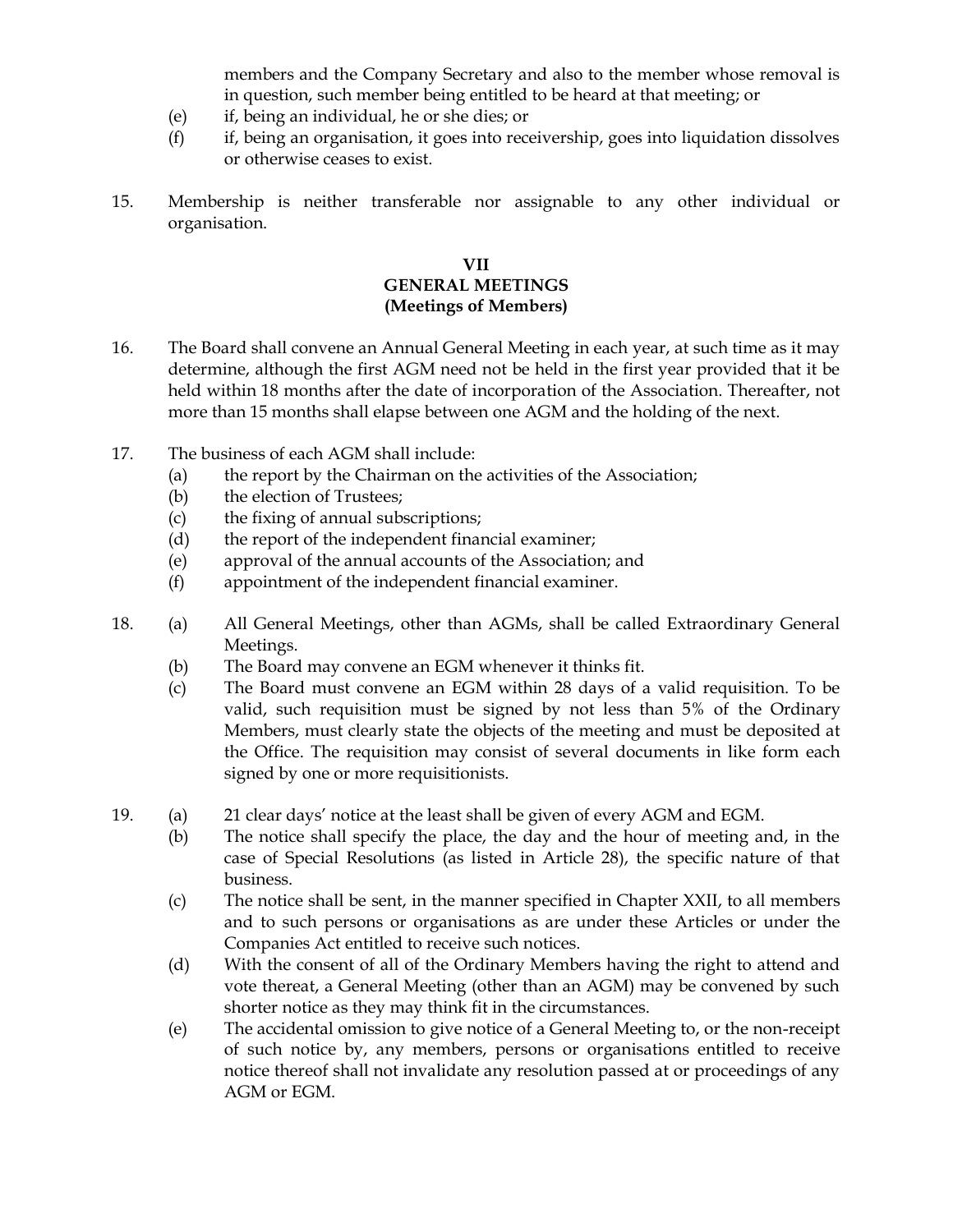members and the Company Secretary and also to the member whose removal is in question, such member being entitled to be heard at that meeting; or

- (e) if, being an individual, he or she dies; or
- (f) if, being an organisation, it goes into receivership, goes into liquidation dissolves or otherwise ceases to exist.
- 15. Membership is neither transferable nor assignable to any other individual or organisation.

#### **VII GENERAL MEETINGS (Meetings of Members)**

- 16. The Board shall convene an Annual General Meeting in each year, at such time as it may determine, although the first AGM need not be held in the first year provided that it be held within 18 months after the date of incorporation of the Association. Thereafter, not more than 15 months shall elapse between one AGM and the holding of the next.
- 17. The business of each AGM shall include:
	- (a) the report by the Chairman on the activities of the Association;
	- (b) the election of Trustees;
	- (c) the fixing of annual subscriptions;
	- (d) the report of the independent financial examiner;
	- (e) approval of the annual accounts of the Association; and
	- (f) appointment of the independent financial examiner.
- 18. (a) All General Meetings, other than AGMs, shall be called Extraordinary General Meetings.
	- (b) The Board may convene an EGM whenever it thinks fit.
	- (c) The Board must convene an EGM within 28 days of a valid requisition. To be valid, such requisition must be signed by not less than 5% of the Ordinary Members, must clearly state the objects of the meeting and must be deposited at the Office. The requisition may consist of several documents in like form each signed by one or more requisitionists.
- 19. (a) 21 clear days' notice at the least shall be given of every AGM and EGM.
	- (b) The notice shall specify the place, the day and the hour of meeting and, in the case of Special Resolutions (as listed in Article 28), the specific nature of that business.
	- (c) The notice shall be sent, in the manner specified in Chapter XXII, to all members and to such persons or organisations as are under these Articles or under the Companies Act entitled to receive such notices.
	- (d) With the consent of all of the Ordinary Members having the right to attend and vote thereat, a General Meeting (other than an AGM) may be convened by such shorter notice as they may think fit in the circumstances.
	- (e) The accidental omission to give notice of a General Meeting to, or the non-receipt of such notice by, any members, persons or organisations entitled to receive notice thereof shall not invalidate any resolution passed at or proceedings of any AGM or EGM.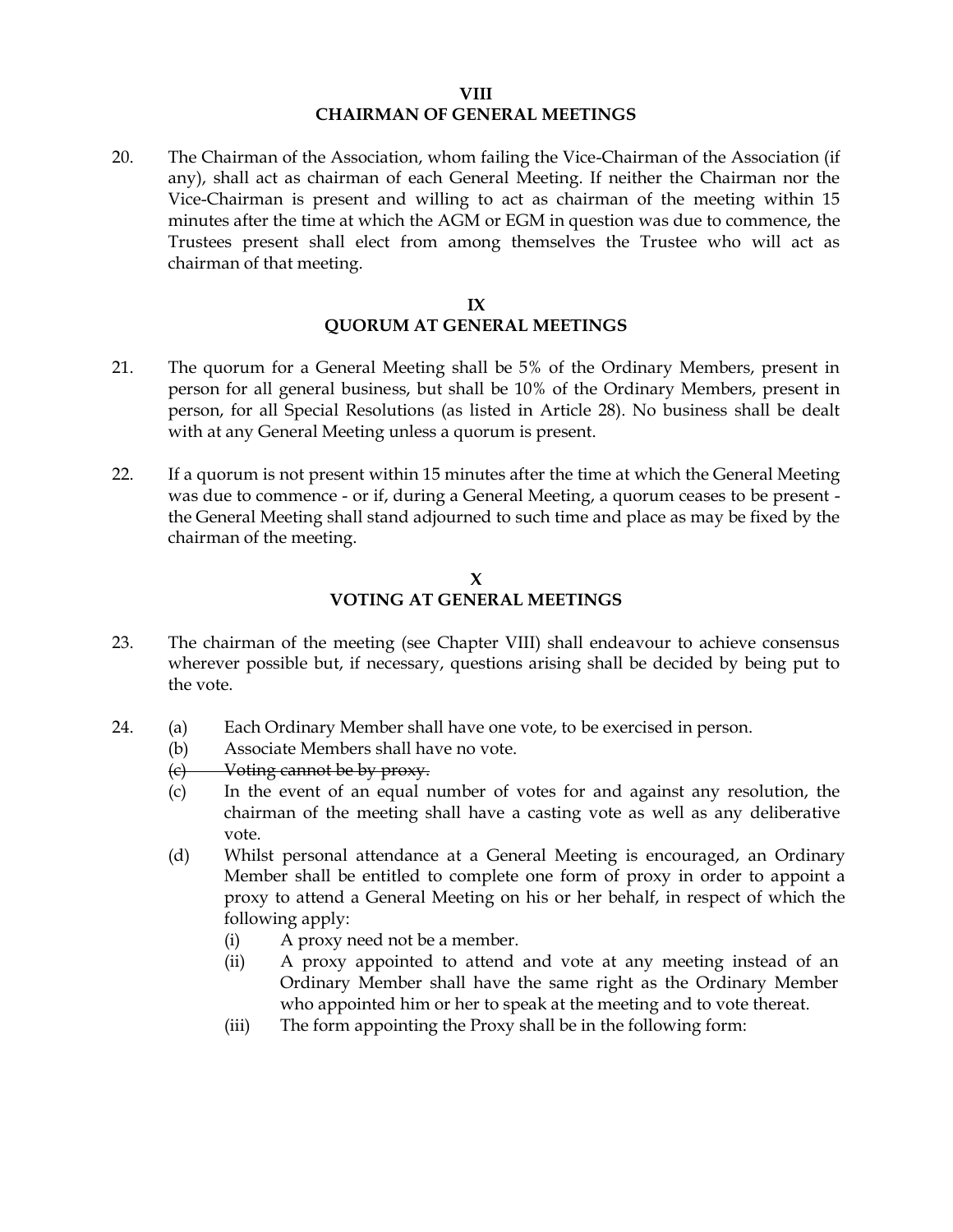#### **VIII CHAIRMAN OF GENERAL MEETINGS**

20. The Chairman of the Association, whom failing the Vice-Chairman of the Association (if any), shall act as chairman of each General Meeting. If neither the Chairman nor the Vice-Chairman is present and willing to act as chairman of the meeting within 15 minutes after the time at which the AGM or EGM in question was due to commence, the Trustees present shall elect from among themselves the Trustee who will act as chairman of that meeting.

#### **IX QUORUM AT GENERAL MEETINGS**

- 21. The quorum for a General Meeting shall be 5% of the Ordinary Members, present in person for all general business, but shall be 10% of the Ordinary Members, present in person, for all Special Resolutions (as listed in Article 28). No business shall be dealt with at any General Meeting unless a quorum is present.
- 22. If a quorum is not present within 15 minutes after the time at which the General Meeting was due to commence - or if, during a General Meeting, a quorum ceases to be present the General Meeting shall stand adjourned to such time and place as may be fixed by the chairman of the meeting.

#### **X VOTING AT GENERAL MEETINGS**

- 23. The chairman of the meeting (see Chapter VIII) shall endeavour to achieve consensus wherever possible but, if necessary, questions arising shall be decided by being put to the vote.
- 24. (a) Each Ordinary Member shall have one vote, to be exercised in person.
	- (b) Associate Members shall have no vote.
	- (c) Voting cannot be by proxy.
	- (c) In the event of an equal number of votes for and against any resolution, the chairman of the meeting shall have a casting vote as well as any deliberative vote.
	- (d) Whilst personal attendance at a General Meeting is encouraged, an Ordinary Member shall be entitled to complete one form of proxy in order to appoint a proxy to attend a General Meeting on his or her behalf, in respect of which the following apply:
		- (i) A proxy need not be a member.
		- (ii) A proxy appointed to attend and vote at any meeting instead of an Ordinary Member shall have the same right as the Ordinary Member who appointed him or her to speak at the meeting and to vote thereat.
		- (iii) The form appointing the Proxy shall be in the following form: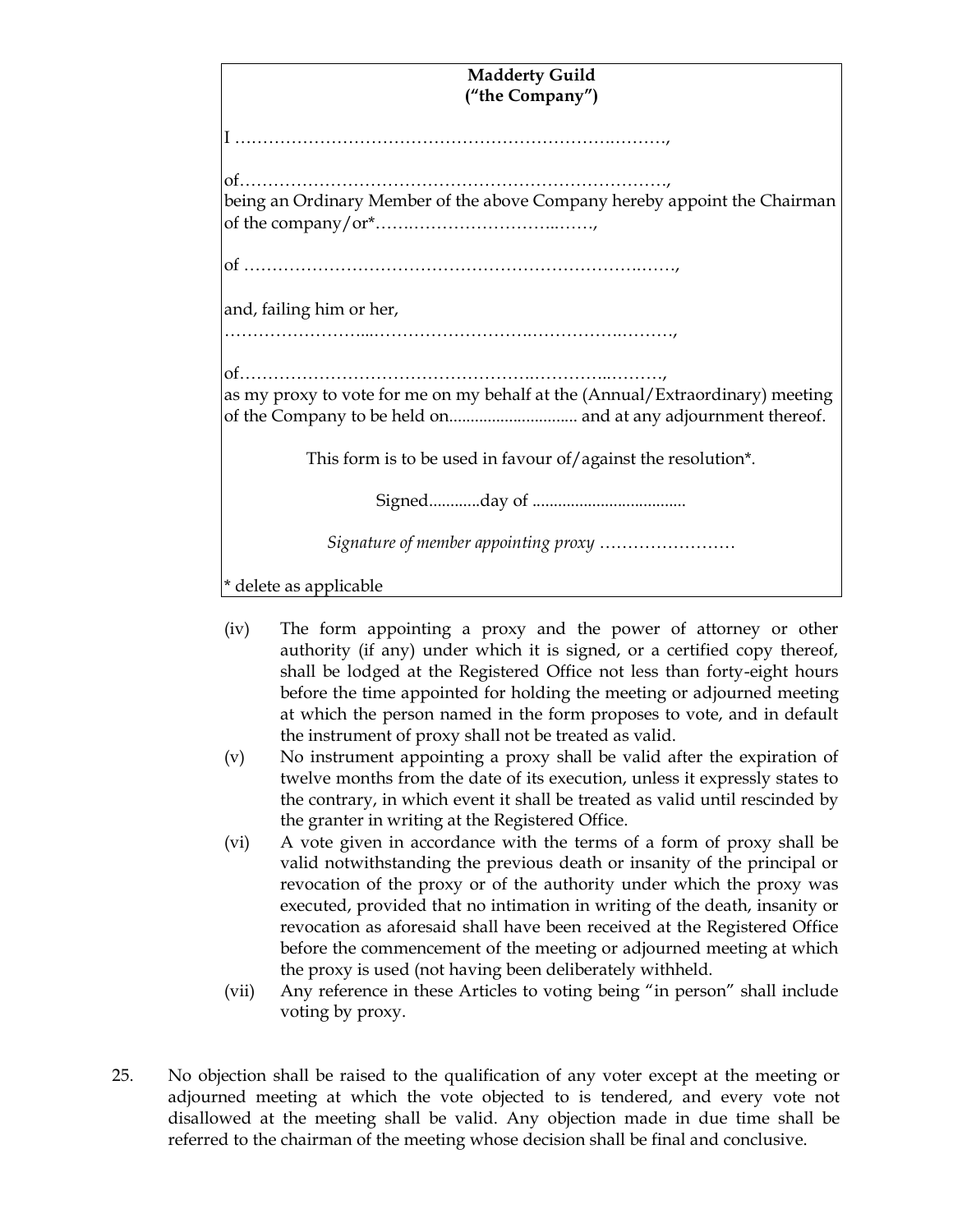| <b>Madderty Guild</b>                                                         |
|-------------------------------------------------------------------------------|
| ("the Company")                                                               |
| I ……………………………………………………………………………                                               |
| being an Ordinary Member of the above Company hereby appoint the Chairman     |
|                                                                               |
| and, failing him or her,                                                      |
|                                                                               |
|                                                                               |
| as my proxy to vote for me on my behalf at the (Annual/Extraordinary) meeting |
| This form is to be used in favour of/against the resolution*.                 |
|                                                                               |
|                                                                               |
| * delete as applicable                                                        |

- (iv) The form appointing a proxy and the power of attorney or other authority (if any) under which it is signed, or a certified copy thereof, shall be lodged at the Registered Office not less than forty-eight hours before the time appointed for holding the meeting or adjourned meeting at which the person named in the form proposes to vote, and in default the instrument of proxy shall not be treated as valid.
- (v) No instrument appointing a proxy shall be valid after the expiration of twelve months from the date of its execution, unless it expressly states to the contrary, in which event it shall be treated as valid until rescinded by the granter in writing at the Registered Office.
- (vi) A vote given in accordance with the terms of a form of proxy shall be valid notwithstanding the previous death or insanity of the principal or revocation of the proxy or of the authority under which the proxy was executed, provided that no intimation in writing of the death, insanity or revocation as aforesaid shall have been received at the Registered Office before the commencement of the meeting or adjourned meeting at which the proxy is used (not having been deliberately withheld.
- (vii) Any reference in these Articles to voting being "in person" shall include voting by proxy.
- 25. No objection shall be raised to the qualification of any voter except at the meeting or adjourned meeting at which the vote objected to is tendered, and every vote not disallowed at the meeting shall be valid. Any objection made in due time shall be referred to the chairman of the meeting whose decision shall be final and conclusive.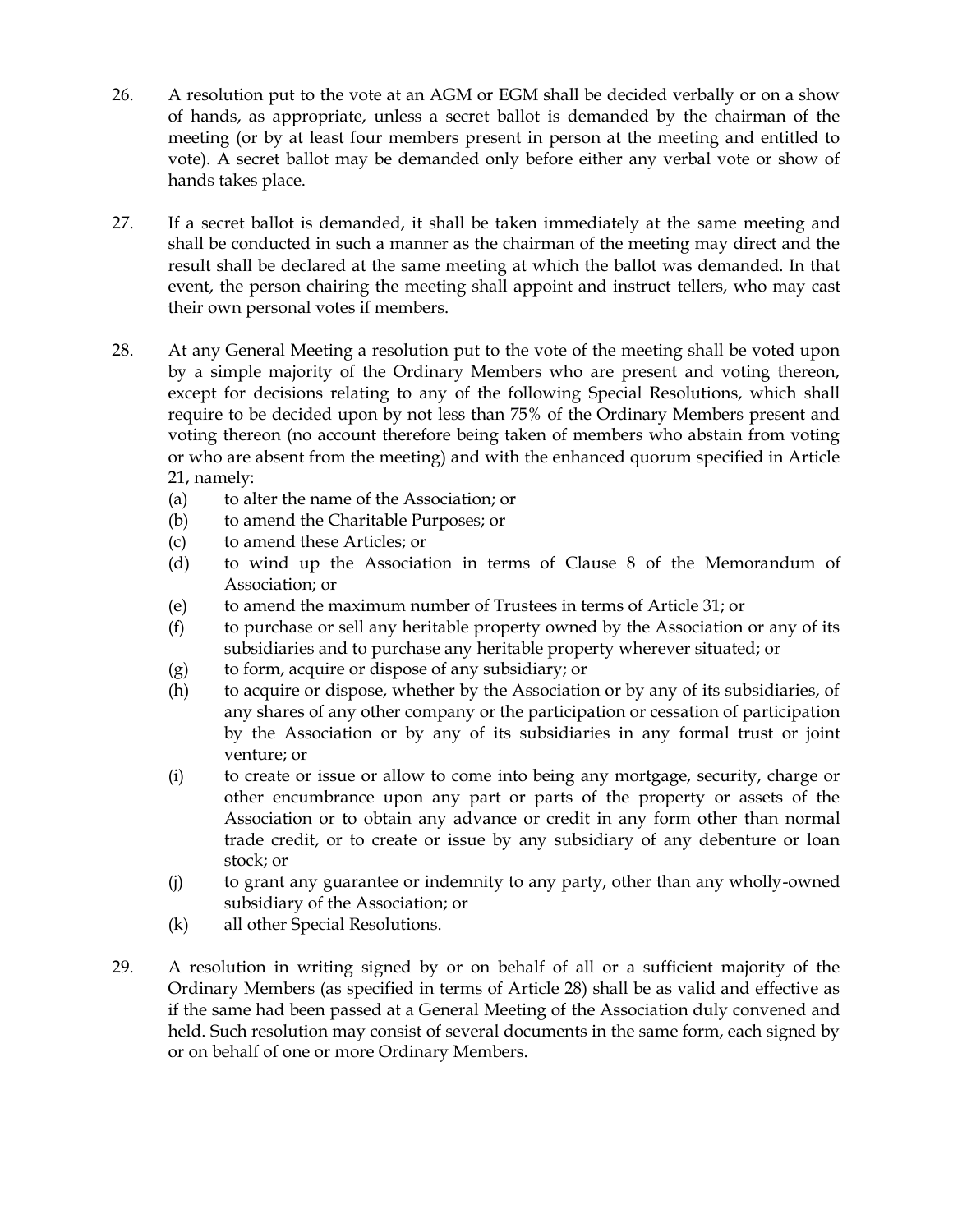- 26. A resolution put to the vote at an AGM or EGM shall be decided verbally or on a show of hands, as appropriate, unless a secret ballot is demanded by the chairman of the meeting (or by at least four members present in person at the meeting and entitled to vote). A secret ballot may be demanded only before either any verbal vote or show of hands takes place.
- 27. If a secret ballot is demanded, it shall be taken immediately at the same meeting and shall be conducted in such a manner as the chairman of the meeting may direct and the result shall be declared at the same meeting at which the ballot was demanded. In that event, the person chairing the meeting shall appoint and instruct tellers, who may cast their own personal votes if members.
- 28. At any General Meeting a resolution put to the vote of the meeting shall be voted upon by a simple majority of the Ordinary Members who are present and voting thereon, except for decisions relating to any of the following Special Resolutions, which shall require to be decided upon by not less than 75% of the Ordinary Members present and voting thereon (no account therefore being taken of members who abstain from voting or who are absent from the meeting) and with the enhanced quorum specified in Article 21, namely:
	- (a) to alter the name of the Association; or
	- (b) to amend the Charitable Purposes; or
	- (c) to amend these Articles; or
	- (d) to wind up the Association in terms of Clause 8 of the Memorandum of Association; or
	- (e) to amend the maximum number of Trustees in terms of Article 31; or
	- (f) to purchase or sell any heritable property owned by the Association or any of its subsidiaries and to purchase any heritable property wherever situated; or
	- (g) to form, acquire or dispose of any subsidiary; or
	- (h) to acquire or dispose, whether by the Association or by any of its subsidiaries, of any shares of any other company or the participation or cessation of participation by the Association or by any of its subsidiaries in any formal trust or joint venture; or
	- (i) to create or issue or allow to come into being any mortgage, security, charge or other encumbrance upon any part or parts of the property or assets of the Association or to obtain any advance or credit in any form other than normal trade credit, or to create or issue by any subsidiary of any debenture or loan stock; or
	- (j) to grant any guarantee or indemnity to any party, other than any wholly-owned subsidiary of the Association; or
	- (k) all other Special Resolutions.
- 29. A resolution in writing signed by or on behalf of all or a sufficient majority of the Ordinary Members (as specified in terms of Article 28) shall be as valid and effective as if the same had been passed at a General Meeting of the Association duly convened and held. Such resolution may consist of several documents in the same form, each signed by or on behalf of one or more Ordinary Members.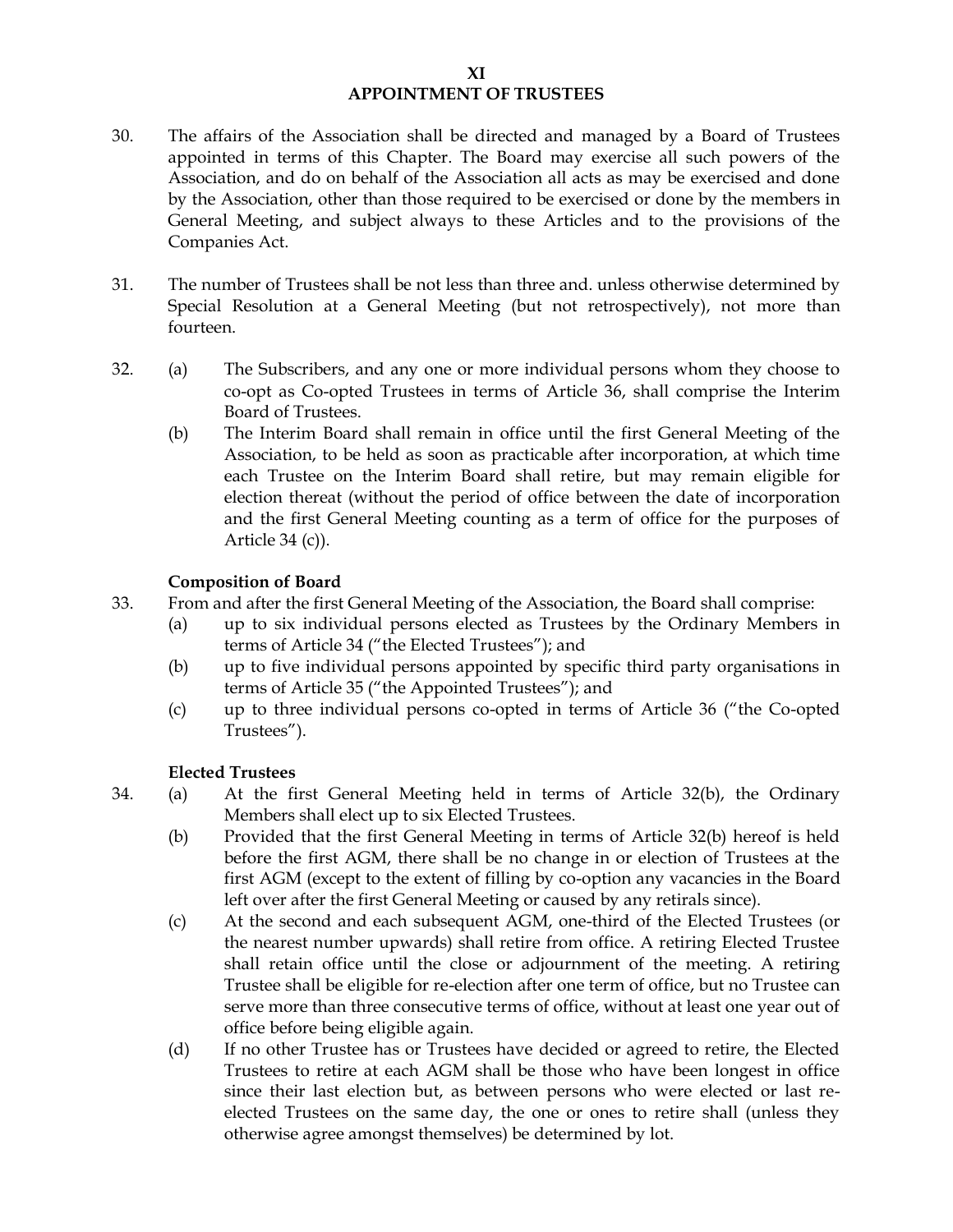#### **XI APPOINTMENT OF TRUSTEES**

- 30. The affairs of the Association shall be directed and managed by a Board of Trustees appointed in terms of this Chapter. The Board may exercise all such powers of the Association, and do on behalf of the Association all acts as may be exercised and done by the Association, other than those required to be exercised or done by the members in General Meeting, and subject always to these Articles and to the provisions of the Companies Act.
- 31. The number of Trustees shall be not less than three and. unless otherwise determined by Special Resolution at a General Meeting (but not retrospectively), not more than fourteen.
- 32. (a) The Subscribers, and any one or more individual persons whom they choose to co-opt as Co-opted Trustees in terms of Article 36, shall comprise the Interim Board of Trustees.
	- (b) The Interim Board shall remain in office until the first General Meeting of the Association, to be held as soon as practicable after incorporation, at which time each Trustee on the Interim Board shall retire, but may remain eligible for election thereat (without the period of office between the date of incorporation and the first General Meeting counting as a term of office for the purposes of Article 34 (c)).

# **Composition of Board**

- 33. From and after the first General Meeting of the Association, the Board shall comprise:
	- (a) up to six individual persons elected as Trustees by the Ordinary Members in terms of Article 34 ("the Elected Trustees"); and
	- (b) up to five individual persons appointed by specific third party organisations in terms of Article 35 ("the Appointed Trustees"); and
	- (c) up to three individual persons co-opted in terms of Article 36 ("the Co-opted Trustees").

# **Elected Trustees**

- 34. (a) At the first General Meeting held in terms of Article 32(b), the Ordinary Members shall elect up to six Elected Trustees.
	- (b) Provided that the first General Meeting in terms of Article 32(b) hereof is held before the first AGM, there shall be no change in or election of Trustees at the first AGM (except to the extent of filling by co-option any vacancies in the Board left over after the first General Meeting or caused by any retirals since).
	- (c) At the second and each subsequent AGM, one-third of the Elected Trustees (or the nearest number upwards) shall retire from office. A retiring Elected Trustee shall retain office until the close or adjournment of the meeting. A retiring Trustee shall be eligible for re-election after one term of office, but no Trustee can serve more than three consecutive terms of office, without at least one year out of office before being eligible again.
	- (d) If no other Trustee has or Trustees have decided or agreed to retire, the Elected Trustees to retire at each AGM shall be those who have been longest in office since their last election but, as between persons who were elected or last reelected Trustees on the same day, the one or ones to retire shall (unless they otherwise agree amongst themselves) be determined by lot.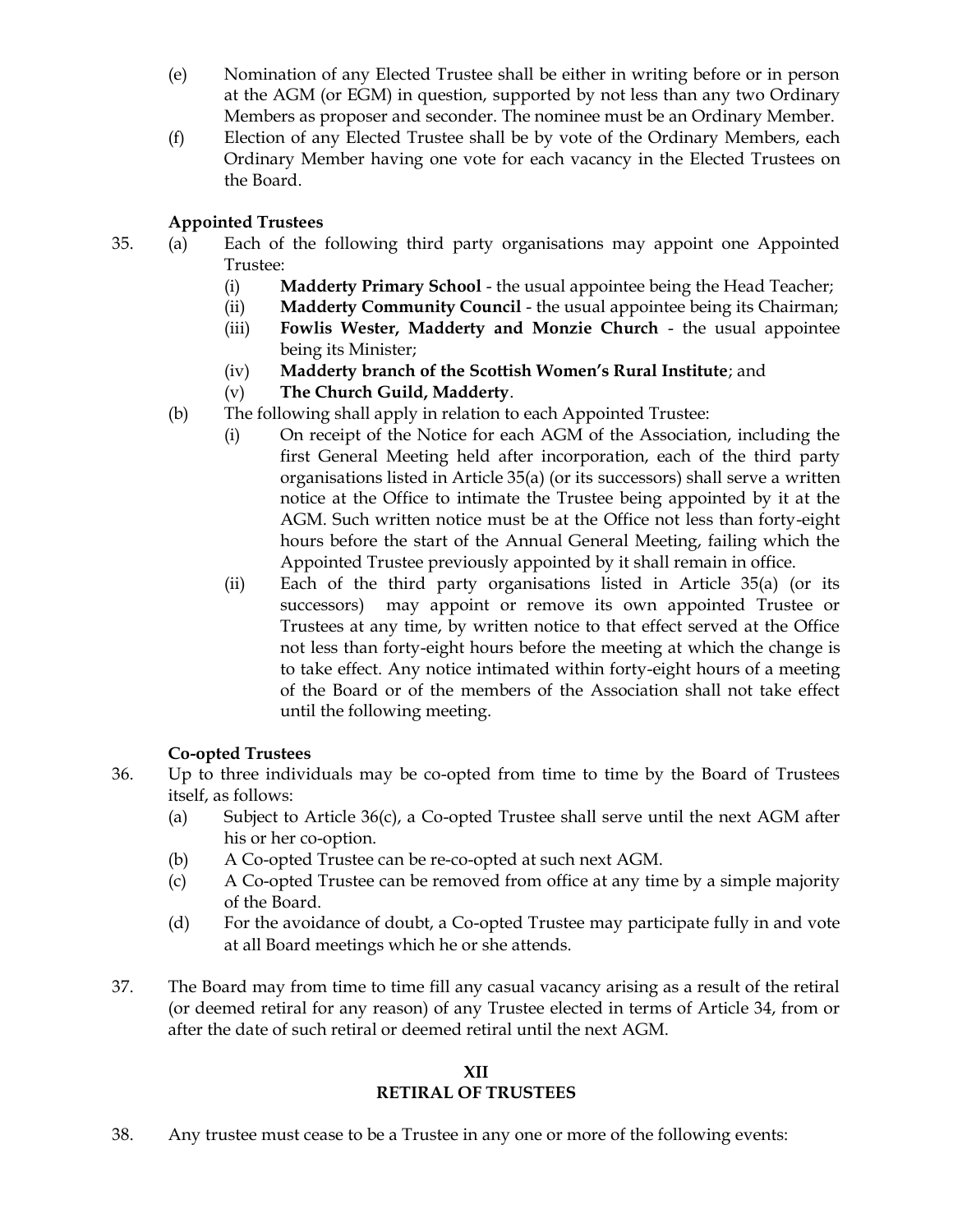- (e) Nomination of any Elected Trustee shall be either in writing before or in person at the AGM (or EGM) in question, supported by not less than any two Ordinary Members as proposer and seconder. The nominee must be an Ordinary Member.
- (f) Election of any Elected Trustee shall be by vote of the Ordinary Members, each Ordinary Member having one vote for each vacancy in the Elected Trustees on the Board.

# **Appointed Trustees**

- 35. (a) Each of the following third party organisations may appoint one Appointed Trustee:
	- (i) **Madderty Primary School** the usual appointee being the Head Teacher;
	- (ii) **Madderty Community Council** the usual appointee being its Chairman;
	- (iii) **Fowlis Wester, Madderty and Monzie Church** the usual appointee being its Minister;
	- (iv) **Madderty branch of the Scottish Women's Rural Institute**; and
	- (v) **The Church Guild, Madderty**.
	- (b) The following shall apply in relation to each Appointed Trustee:
		- (i) On receipt of the Notice for each AGM of the Association, including the first General Meeting held after incorporation, each of the third party organisations listed in Article 35(a) (or its successors) shall serve a written notice at the Office to intimate the Trustee being appointed by it at the AGM. Such written notice must be at the Office not less than forty-eight hours before the start of the Annual General Meeting, failing which the Appointed Trustee previously appointed by it shall remain in office.
		- (ii) Each of the third party organisations listed in Article 35(a) (or its successors) may appoint or remove its own appointed Trustee or Trustees at any time, by written notice to that effect served at the Office not less than forty-eight hours before the meeting at which the change is to take effect. Any notice intimated within forty-eight hours of a meeting of the Board or of the members of the Association shall not take effect until the following meeting.

# **Co-opted Trustees**

- 36. Up to three individuals may be co-opted from time to time by the Board of Trustees itself, as follows:
	- (a) Subject to Article 36(c), a Co-opted Trustee shall serve until the next AGM after his or her co-option.
	- (b) A Co-opted Trustee can be re-co-opted at such next AGM.
	- (c) A Co-opted Trustee can be removed from office at any time by a simple majority of the Board.
	- (d) For the avoidance of doubt, a Co-opted Trustee may participate fully in and vote at all Board meetings which he or she attends.
- 37. The Board may from time to time fill any casual vacancy arising as a result of the retiral (or deemed retiral for any reason) of any Trustee elected in terms of Article 34, from or after the date of such retiral or deemed retiral until the next AGM.

#### **XII RETIRAL OF TRUSTEES**

38. Any trustee must cease to be a Trustee in any one or more of the following events: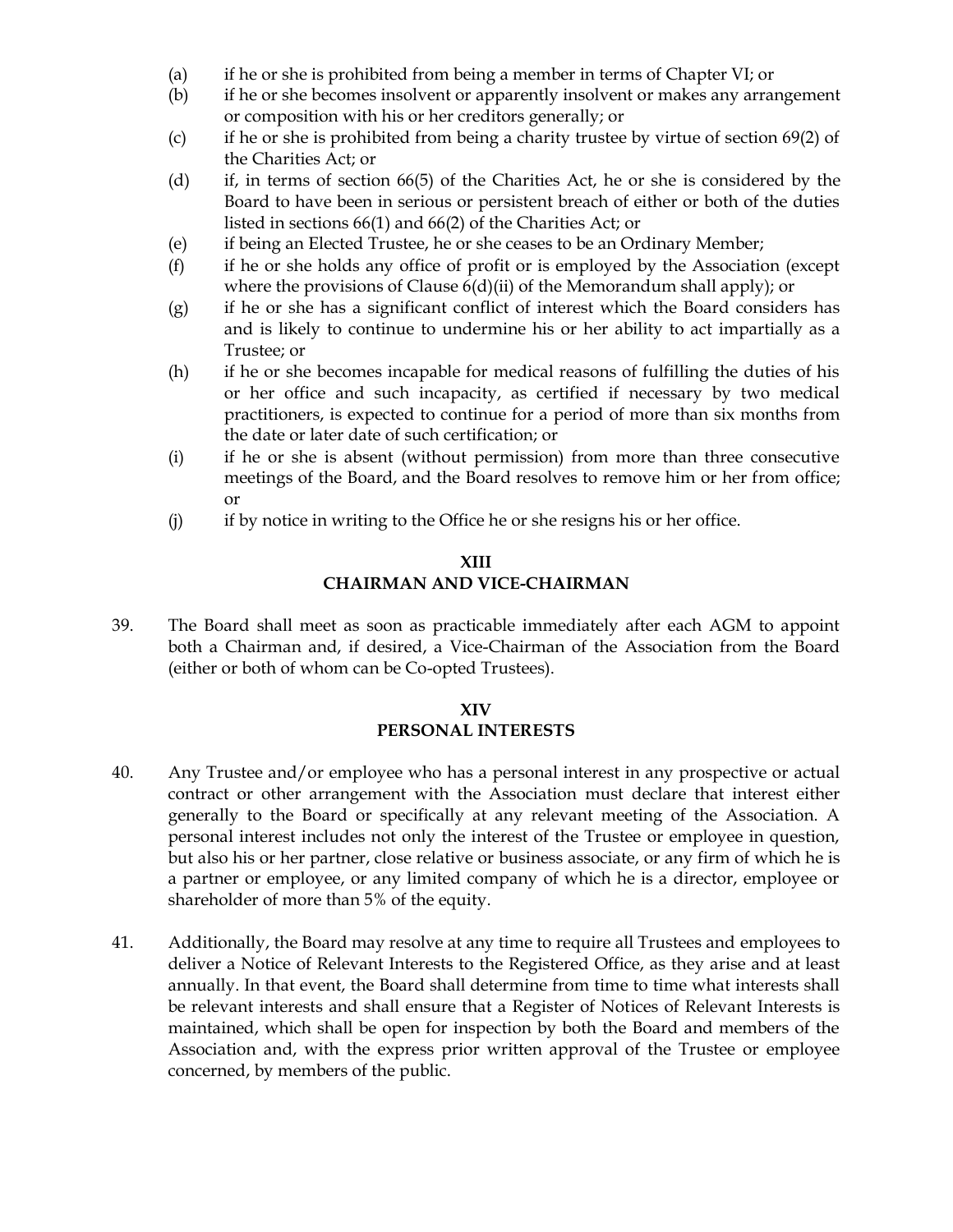- (a) if he or she is prohibited from being a member in terms of Chapter VI; or
- (b) if he or she becomes insolvent or apparently insolvent or makes any arrangement or composition with his or her creditors generally; or
- (c) if he or she is prohibited from being a charity trustee by virtue of section 69(2) of the Charities Act; or
- (d) if, in terms of section 66(5) of the Charities Act, he or she is considered by the Board to have been in serious or persistent breach of either or both of the duties listed in sections 66(1) and 66(2) of the Charities Act; or
- (e) if being an Elected Trustee, he or she ceases to be an Ordinary Member;
- (f) if he or she holds any office of profit or is employed by the Association (except where the provisions of Clause  $6(d)(ii)$  of the Memorandum shall apply); or
- (g) if he or she has a significant conflict of interest which the Board considers has and is likely to continue to undermine his or her ability to act impartially as a Trustee; or
- (h) if he or she becomes incapable for medical reasons of fulfilling the duties of his or her office and such incapacity, as certified if necessary by two medical practitioners, is expected to continue for a period of more than six months from the date or later date of such certification; or
- (i) if he or she is absent (without permission) from more than three consecutive meetings of the Board, and the Board resolves to remove him or her from office; or
- (j) if by notice in writing to the Office he or she resigns his or her office.

#### **XIII CHAIRMAN AND VICE-CHAIRMAN**

39. The Board shall meet as soon as practicable immediately after each AGM to appoint both a Chairman and, if desired, a Vice-Chairman of the Association from the Board (either or both of whom can be Co-opted Trustees).

# **XIV PERSONAL INTERESTS**

- 40. Any Trustee and/or employee who has a personal interest in any prospective or actual contract or other arrangement with the Association must declare that interest either generally to the Board or specifically at any relevant meeting of the Association. A personal interest includes not only the interest of the Trustee or employee in question, but also his or her partner, close relative or business associate, or any firm of which he is a partner or employee, or any limited company of which he is a director, employee or shareholder of more than 5% of the equity.
- 41. Additionally, the Board may resolve at any time to require all Trustees and employees to deliver a Notice of Relevant Interests to the Registered Office, as they arise and at least annually. In that event, the Board shall determine from time to time what interests shall be relevant interests and shall ensure that a Register of Notices of Relevant Interests is maintained, which shall be open for inspection by both the Board and members of the Association and, with the express prior written approval of the Trustee or employee concerned, by members of the public.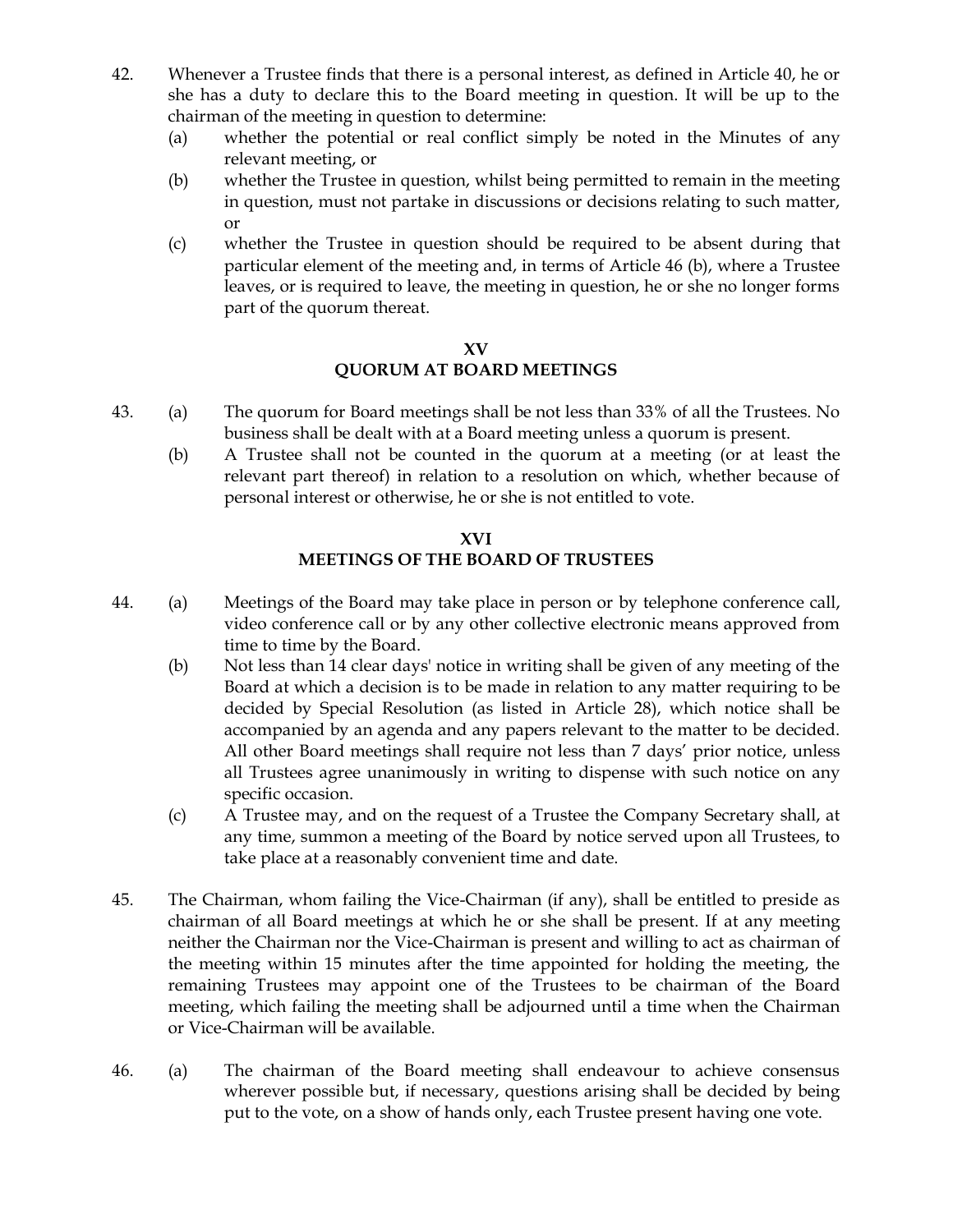- 42. Whenever a Trustee finds that there is a personal interest, as defined in Article 40, he or she has a duty to declare this to the Board meeting in question. It will be up to the chairman of the meeting in question to determine:
	- (a) whether the potential or real conflict simply be noted in the Minutes of any relevant meeting, or
	- (b) whether the Trustee in question, whilst being permitted to remain in the meeting in question, must not partake in discussions or decisions relating to such matter, or
	- (c) whether the Trustee in question should be required to be absent during that particular element of the meeting and, in terms of Article 46 (b), where a Trustee leaves, or is required to leave, the meeting in question, he or she no longer forms part of the quorum thereat.

#### **XV**

# **QUORUM AT BOARD MEETINGS**

- 43. (a) The quorum for Board meetings shall be not less than 33% of all the Trustees. No business shall be dealt with at a Board meeting unless a quorum is present.
	- (b) A Trustee shall not be counted in the quorum at a meeting (or at least the relevant part thereof) in relation to a resolution on which, whether because of personal interest or otherwise, he or she is not entitled to vote.

# **XVI MEETINGS OF THE BOARD OF TRUSTEES**

- 44. (a) Meetings of the Board may take place in person or by telephone conference call, video conference call or by any other collective electronic means approved from time to time by the Board.
	- (b) Not less than 14 clear days' notice in writing shall be given of any meeting of the Board at which a decision is to be made in relation to any matter requiring to be decided by Special Resolution (as listed in Article 28), which notice shall be accompanied by an agenda and any papers relevant to the matter to be decided. All other Board meetings shall require not less than 7 days' prior notice, unless all Trustees agree unanimously in writing to dispense with such notice on any specific occasion.
	- (c) A Trustee may, and on the request of a Trustee the Company Secretary shall, at any time, summon a meeting of the Board by notice served upon all Trustees, to take place at a reasonably convenient time and date.
- 45. The Chairman, whom failing the Vice-Chairman (if any), shall be entitled to preside as chairman of all Board meetings at which he or she shall be present. If at any meeting neither the Chairman nor the Vice-Chairman is present and willing to act as chairman of the meeting within 15 minutes after the time appointed for holding the meeting, the remaining Trustees may appoint one of the Trustees to be chairman of the Board meeting, which failing the meeting shall be adjourned until a time when the Chairman or Vice-Chairman will be available.
- 46. (a) The chairman of the Board meeting shall endeavour to achieve consensus wherever possible but, if necessary, questions arising shall be decided by being put to the vote, on a show of hands only, each Trustee present having one vote.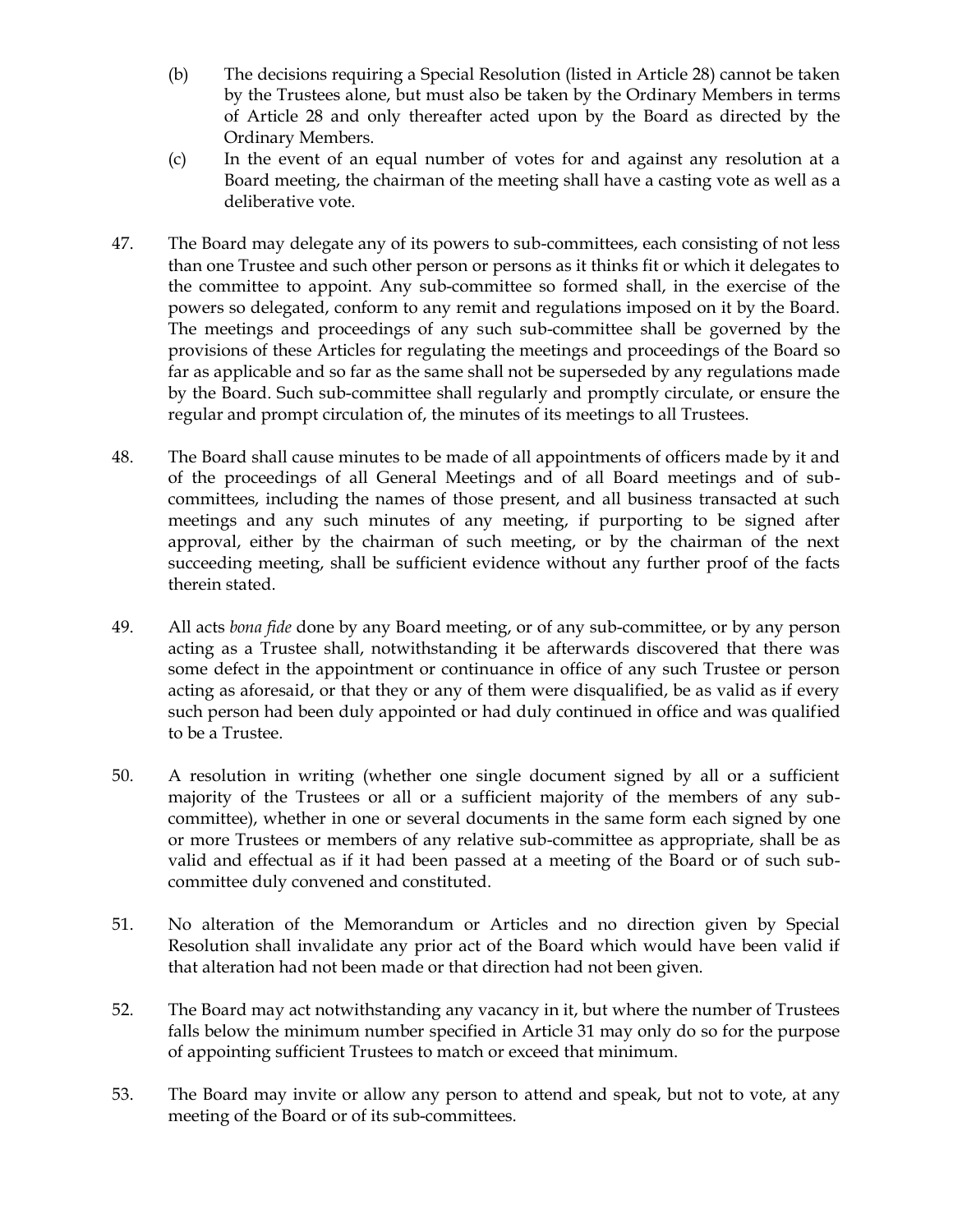- (b) The decisions requiring a Special Resolution (listed in Article 28) cannot be taken by the Trustees alone, but must also be taken by the Ordinary Members in terms of Article 28 and only thereafter acted upon by the Board as directed by the Ordinary Members.
- (c) In the event of an equal number of votes for and against any resolution at a Board meeting, the chairman of the meeting shall have a casting vote as well as a deliberative vote.
- 47. The Board may delegate any of its powers to sub-committees, each consisting of not less than one Trustee and such other person or persons as it thinks fit or which it delegates to the committee to appoint. Any sub-committee so formed shall, in the exercise of the powers so delegated, conform to any remit and regulations imposed on it by the Board. The meetings and proceedings of any such sub-committee shall be governed by the provisions of these Articles for regulating the meetings and proceedings of the Board so far as applicable and so far as the same shall not be superseded by any regulations made by the Board. Such sub-committee shall regularly and promptly circulate, or ensure the regular and prompt circulation of, the minutes of its meetings to all Trustees.
- 48. The Board shall cause minutes to be made of all appointments of officers made by it and of the proceedings of all General Meetings and of all Board meetings and of subcommittees, including the names of those present, and all business transacted at such meetings and any such minutes of any meeting, if purporting to be signed after approval, either by the chairman of such meeting, or by the chairman of the next succeeding meeting, shall be sufficient evidence without any further proof of the facts therein stated.
- 49. All acts *bona fide* done by any Board meeting, or of any sub-committee, or by any person acting as a Trustee shall, notwithstanding it be afterwards discovered that there was some defect in the appointment or continuance in office of any such Trustee or person acting as aforesaid, or that they or any of them were disqualified, be as valid as if every such person had been duly appointed or had duly continued in office and was qualified to be a Trustee.
- 50. A resolution in writing (whether one single document signed by all or a sufficient majority of the Trustees or all or a sufficient majority of the members of any subcommittee), whether in one or several documents in the same form each signed by one or more Trustees or members of any relative sub-committee as appropriate, shall be as valid and effectual as if it had been passed at a meeting of the Board or of such subcommittee duly convened and constituted.
- 51. No alteration of the Memorandum or Articles and no direction given by Special Resolution shall invalidate any prior act of the Board which would have been valid if that alteration had not been made or that direction had not been given.
- 52. The Board may act notwithstanding any vacancy in it, but where the number of Trustees falls below the minimum number specified in Article 31 may only do so for the purpose of appointing sufficient Trustees to match or exceed that minimum.
- 53. The Board may invite or allow any person to attend and speak, but not to vote, at any meeting of the Board or of its sub-committees.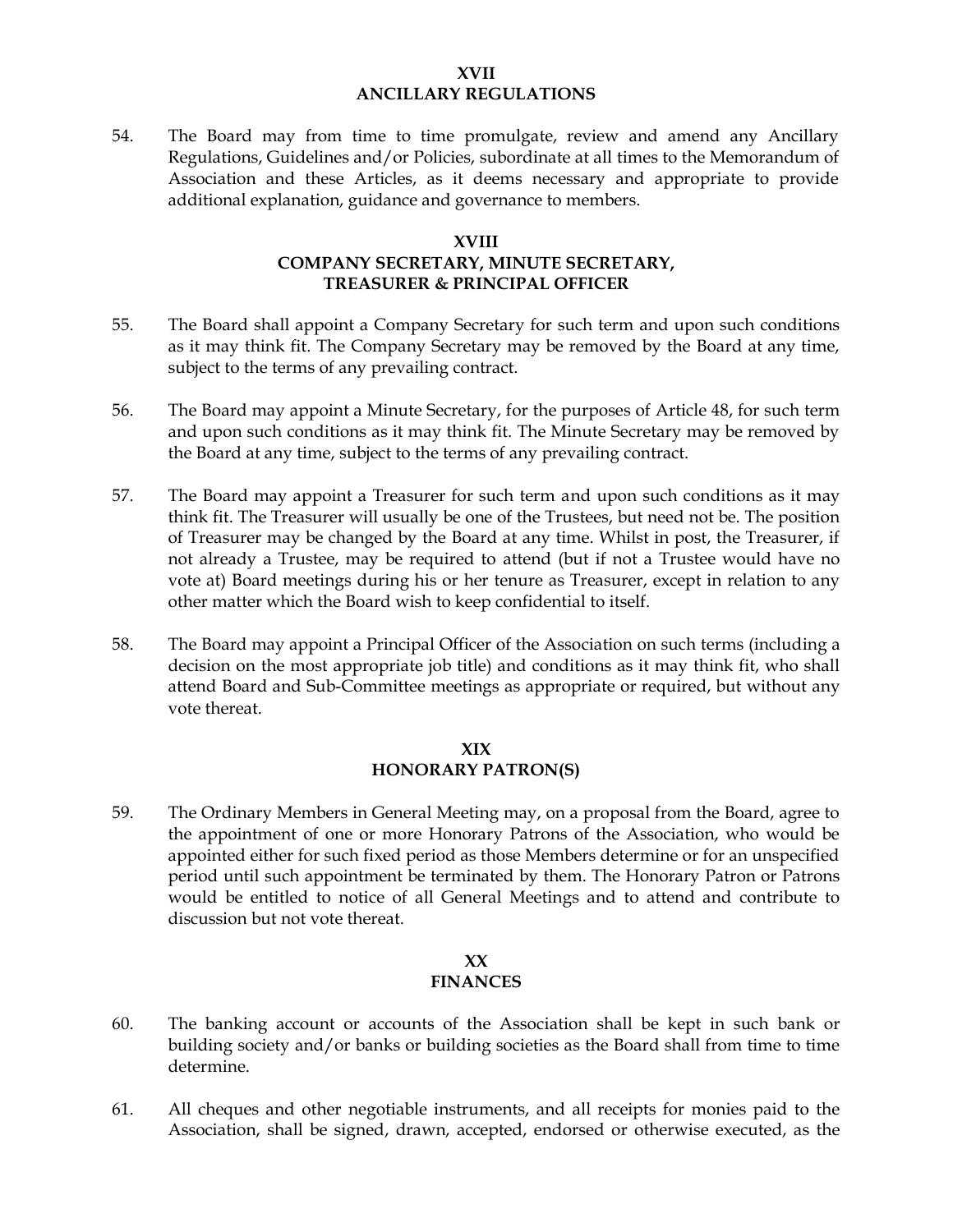#### **XVII ANCILLARY REGULATIONS**

54. The Board may from time to time promulgate, review and amend any Ancillary Regulations, Guidelines and/or Policies, subordinate at all times to the Memorandum of Association and these Articles, as it deems necessary and appropriate to provide additional explanation, guidance and governance to members.

#### **XVIII**

# **COMPANY SECRETARY, MINUTE SECRETARY, TREASURER & PRINCIPAL OFFICER**

- 55. The Board shall appoint a Company Secretary for such term and upon such conditions as it may think fit. The Company Secretary may be removed by the Board at any time, subject to the terms of any prevailing contract.
- 56. The Board may appoint a Minute Secretary, for the purposes of Article 48, for such term and upon such conditions as it may think fit. The Minute Secretary may be removed by the Board at any time, subject to the terms of any prevailing contract.
- 57. The Board may appoint a Treasurer for such term and upon such conditions as it may think fit. The Treasurer will usually be one of the Trustees, but need not be. The position of Treasurer may be changed by the Board at any time. Whilst in post, the Treasurer, if not already a Trustee, may be required to attend (but if not a Trustee would have no vote at) Board meetings during his or her tenure as Treasurer, except in relation to any other matter which the Board wish to keep confidential to itself.
- 58. The Board may appoint a Principal Officer of the Association on such terms (including a decision on the most appropriate job title) and conditions as it may think fit, who shall attend Board and Sub-Committee meetings as appropriate or required, but without any vote thereat.

#### **XIX HONORARY PATRON(S)**

59. The Ordinary Members in General Meeting may, on a proposal from the Board, agree to the appointment of one or more Honorary Patrons of the Association, who would be appointed either for such fixed period as those Members determine or for an unspecified period until such appointment be terminated by them. The Honorary Patron or Patrons would be entitled to notice of all General Meetings and to attend and contribute to discussion but not vote thereat.

#### **XX FINANCES**

- 60. The banking account or accounts of the Association shall be kept in such bank or building society and/or banks or building societies as the Board shall from time to time determine.
- 61. All cheques and other negotiable instruments, and all receipts for monies paid to the Association, shall be signed, drawn, accepted, endorsed or otherwise executed, as the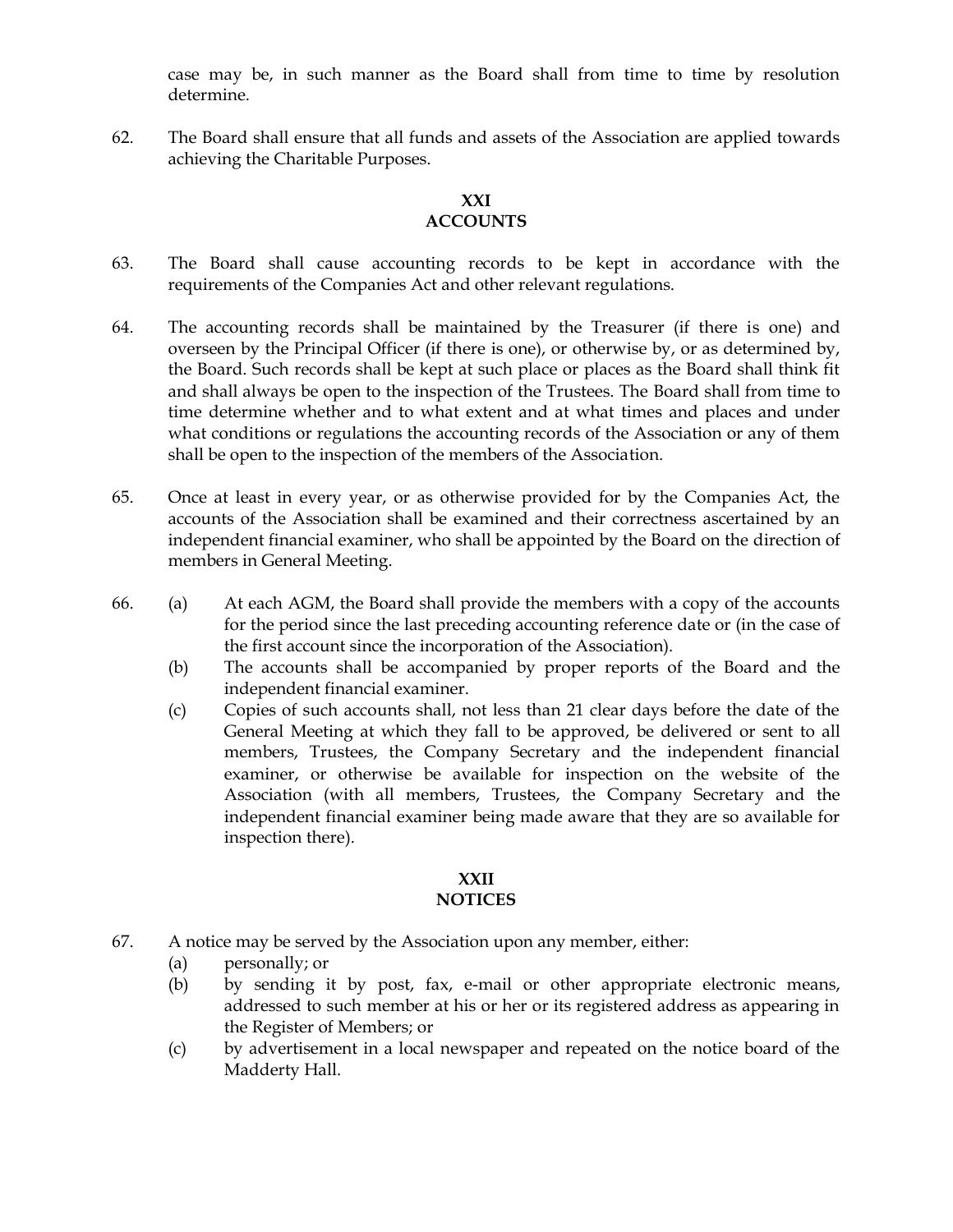case may be, in such manner as the Board shall from time to time by resolution determine.

62. The Board shall ensure that all funds and assets of the Association are applied towards achieving the Charitable Purposes.

# **XXI**

# **ACCOUNTS**

- 63. The Board shall cause accounting records to be kept in accordance with the requirements of the Companies Act and other relevant regulations.
- 64. The accounting records shall be maintained by the Treasurer (if there is one) and overseen by the Principal Officer (if there is one), or otherwise by, or as determined by, the Board. Such records shall be kept at such place or places as the Board shall think fit and shall always be open to the inspection of the Trustees. The Board shall from time to time determine whether and to what extent and at what times and places and under what conditions or regulations the accounting records of the Association or any of them shall be open to the inspection of the members of the Association.
- 65. Once at least in every year, or as otherwise provided for by the Companies Act, the accounts of the Association shall be examined and their correctness ascertained by an independent financial examiner, who shall be appointed by the Board on the direction of members in General Meeting.
- 66. (a) At each AGM, the Board shall provide the members with a copy of the accounts for the period since the last preceding accounting reference date or (in the case of the first account since the incorporation of the Association).
	- (b) The accounts shall be accompanied by proper reports of the Board and the independent financial examiner.
	- (c) Copies of such accounts shall, not less than 21 clear days before the date of the General Meeting at which they fall to be approved, be delivered or sent to all members, Trustees, the Company Secretary and the independent financial examiner, or otherwise be available for inspection on the website of the Association (with all members, Trustees, the Company Secretary and the independent financial examiner being made aware that they are so available for inspection there).

#### **XXII NOTICES**

- 67. A notice may be served by the Association upon any member, either:
	- (a) personally; or
	- (b) by sending it by post, fax, e-mail or other appropriate electronic means, addressed to such member at his or her or its registered address as appearing in the Register of Members; or
	- (c) by advertisement in a local newspaper and repeated on the notice board of the Madderty Hall.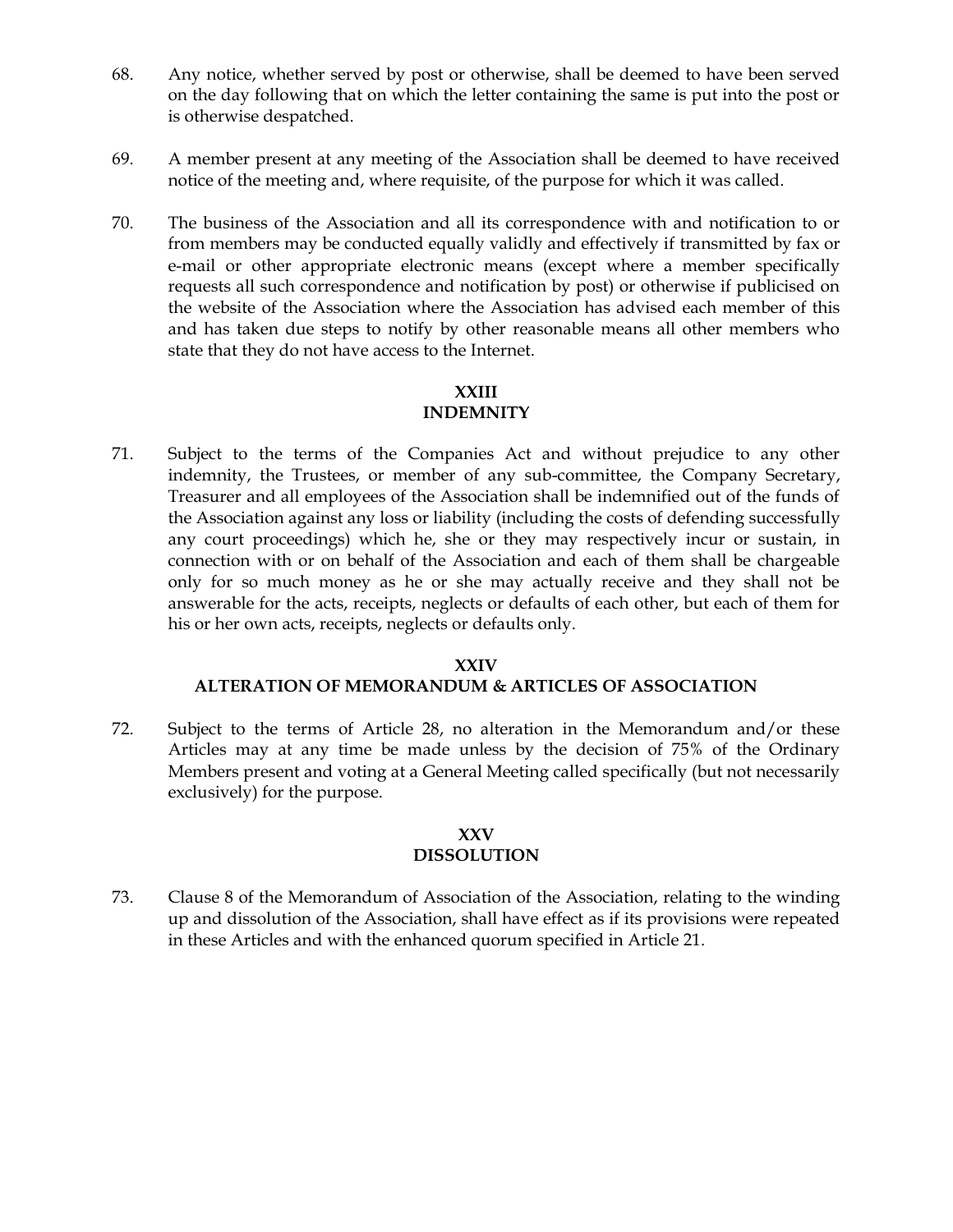- 68. Any notice, whether served by post or otherwise, shall be deemed to have been served on the day following that on which the letter containing the same is put into the post or is otherwise despatched.
- 69. A member present at any meeting of the Association shall be deemed to have received notice of the meeting and, where requisite, of the purpose for which it was called.
- 70. The business of the Association and all its correspondence with and notification to or from members may be conducted equally validly and effectively if transmitted by fax or e-mail or other appropriate electronic means (except where a member specifically requests all such correspondence and notification by post) or otherwise if publicised on the website of the Association where the Association has advised each member of this and has taken due steps to notify by other reasonable means all other members who state that they do not have access to the Internet.

# **XXIII**

# **INDEMNITY**

71. Subject to the terms of the Companies Act and without prejudice to any other indemnity, the Trustees, or member of any sub-committee, the Company Secretary, Treasurer and all employees of the Association shall be indemnified out of the funds of the Association against any loss or liability (including the costs of defending successfully any court proceedings) which he, she or they may respectively incur or sustain, in connection with or on behalf of the Association and each of them shall be chargeable only for so much money as he or she may actually receive and they shall not be answerable for the acts, receipts, neglects or defaults of each other, but each of them for his or her own acts, receipts, neglects or defaults only.

# **XXIV**

# **ALTERATION OF MEMORANDUM & ARTICLES OF ASSOCIATION**

72. Subject to the terms of Article 28, no alteration in the Memorandum and/or these Articles may at any time be made unless by the decision of 75% of the Ordinary Members present and voting at a General Meeting called specifically (but not necessarily exclusively) for the purpose.

#### **XXV DISSOLUTION**

73. Clause 8 of the Memorandum of Association of the Association, relating to the winding up and dissolution of the Association, shall have effect as if its provisions were repeated in these Articles and with the enhanced quorum specified in Article 21.